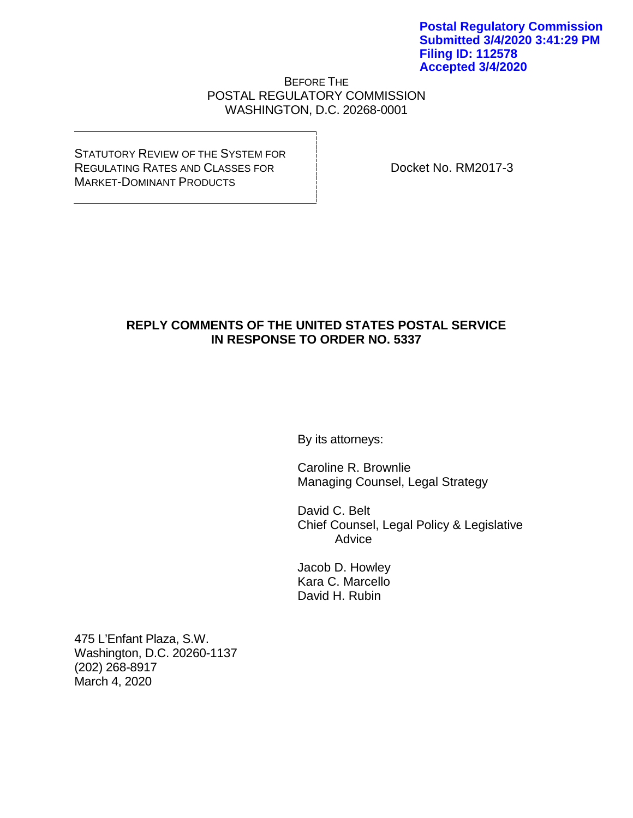## BEFORE THE POSTAL REGULATORY COMMISSION WASHINGTON, D.C. 20268-0001

STATUTORY REVIEW OF THE SYSTEM FOR REGULATING RATES AND CLASSES FOR MARKET-DOMINANT PRODUCTS

Docket No. RM2017-3

# **REPLY COMMENTS OF THE UNITED STATES POSTAL SERVICE IN RESPONSE TO ORDER NO. 5337**

By its attorneys:

Caroline R. Brownlie Managing Counsel, Legal Strategy

David C. Belt Chief Counsel, Legal Policy & Legislative Advice

Jacob D. Howley Kara C. Marcello David H. Rubin

475 L'Enfant Plaza, S.W. Washington, D.C. 20260-1137 (202) 268-8917 March 4, 2020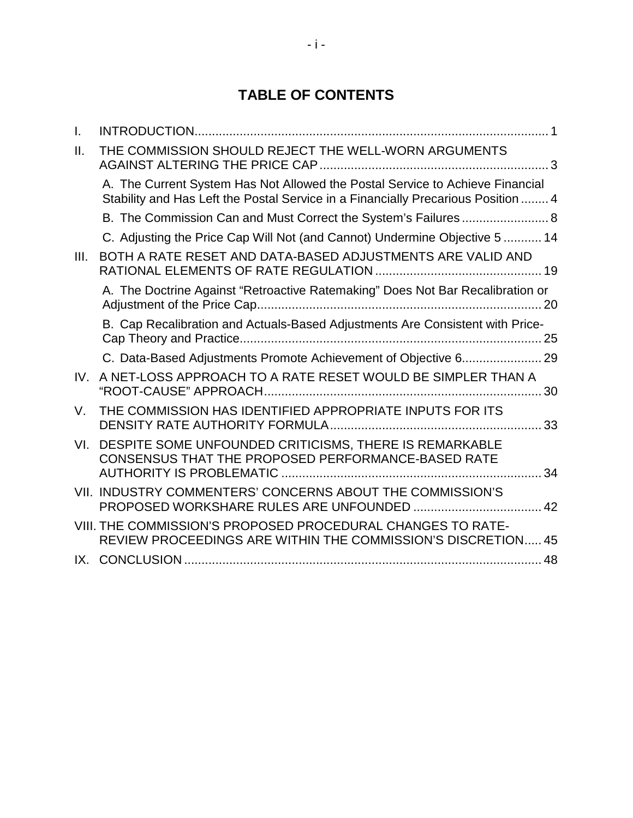# **TABLE OF CONTENTS**

| L.   |                                                                                                                                                                    |
|------|--------------------------------------------------------------------------------------------------------------------------------------------------------------------|
| Ш.   | THE COMMISSION SHOULD REJECT THE WELL-WORN ARGUMENTS                                                                                                               |
|      | A. The Current System Has Not Allowed the Postal Service to Achieve Financial<br>Stability and Has Left the Postal Service in a Financially Precarious Position  4 |
|      |                                                                                                                                                                    |
|      | C. Adjusting the Price Cap Will Not (and Cannot) Undermine Objective 5  14                                                                                         |
| III. | BOTH A RATE RESET AND DATA-BASED ADJUSTMENTS ARE VALID AND                                                                                                         |
|      | A. The Doctrine Against "Retroactive Ratemaking" Does Not Bar Recalibration or<br>20                                                                               |
|      | B. Cap Recalibration and Actuals-Based Adjustments Are Consistent with Price-<br>25                                                                                |
|      |                                                                                                                                                                    |
| IV.  | A NET-LOSS APPROACH TO A RATE RESET WOULD BE SIMPLER THAN A<br>30                                                                                                  |
| V.   | THE COMMISSION HAS IDENTIFIED APPROPRIATE INPUTS FOR ITS                                                                                                           |
| VI.  | DESPITE SOME UNFOUNDED CRITICISMS, THERE IS REMARKABLE<br>CONSENSUS THAT THE PROPOSED PERFORMANCE-BASED RATE<br>34                                                 |
|      | VII. INDUSTRY COMMENTERS' CONCERNS ABOUT THE COMMISSION'S                                                                                                          |
|      | VIII. THE COMMISSION'S PROPOSED PROCEDURAL CHANGES TO RATE-<br>REVIEW PROCEEDINGS ARE WITHIN THE COMMISSION'S DISCRETION 45                                        |
|      |                                                                                                                                                                    |
|      |                                                                                                                                                                    |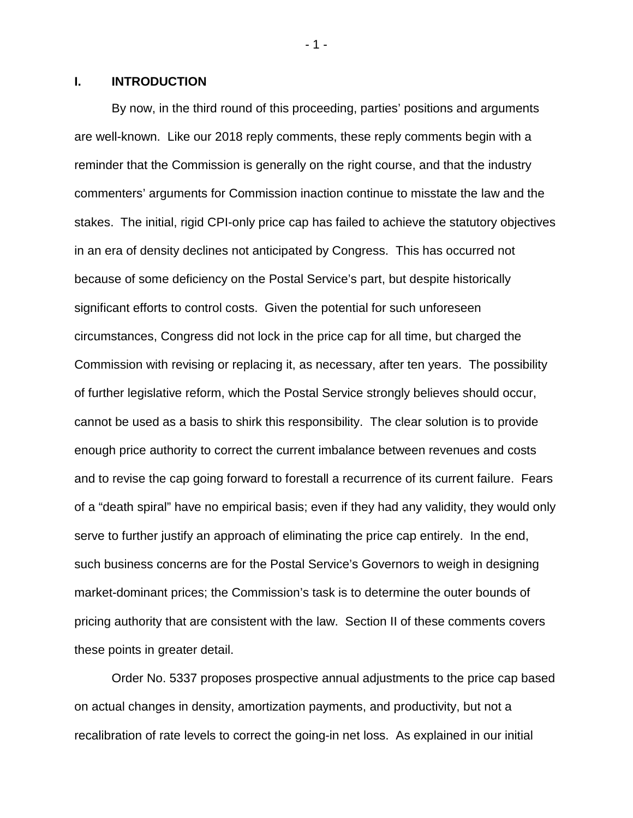#### <span id="page-2-0"></span>**I. INTRODUCTION**

By now, in the third round of this proceeding, parties' positions and arguments are well-known. Like our 2018 reply comments, these reply comments begin with a reminder that the Commission is generally on the right course, and that the industry commenters' arguments for Commission inaction continue to misstate the law and the stakes. The initial, rigid CPI-only price cap has failed to achieve the statutory objectives in an era of density declines not anticipated by Congress. This has occurred not because of some deficiency on the Postal Service's part, but despite historically significant efforts to control costs. Given the potential for such unforeseen circumstances, Congress did not lock in the price cap for all time, but charged the Commission with revising or replacing it, as necessary, after ten years. The possibility of further legislative reform, which the Postal Service strongly believes should occur, cannot be used as a basis to shirk this responsibility. The clear solution is to provide enough price authority to correct the current imbalance between revenues and costs and to revise the cap going forward to forestall a recurrence of its current failure. Fears of a "death spiral" have no empirical basis; even if they had any validity, they would only serve to further justify an approach of eliminating the price cap entirely. In the end, such business concerns are for the Postal Service's Governors to weigh in designing market-dominant prices; the Commission's task is to determine the outer bounds of pricing authority that are consistent with the law. Section II of these comments covers these points in greater detail.

Order No. 5337 proposes prospective annual adjustments to the price cap based on actual changes in density, amortization payments, and productivity, but not a recalibration of rate levels to correct the going-in net loss. As explained in our initial

- 1 -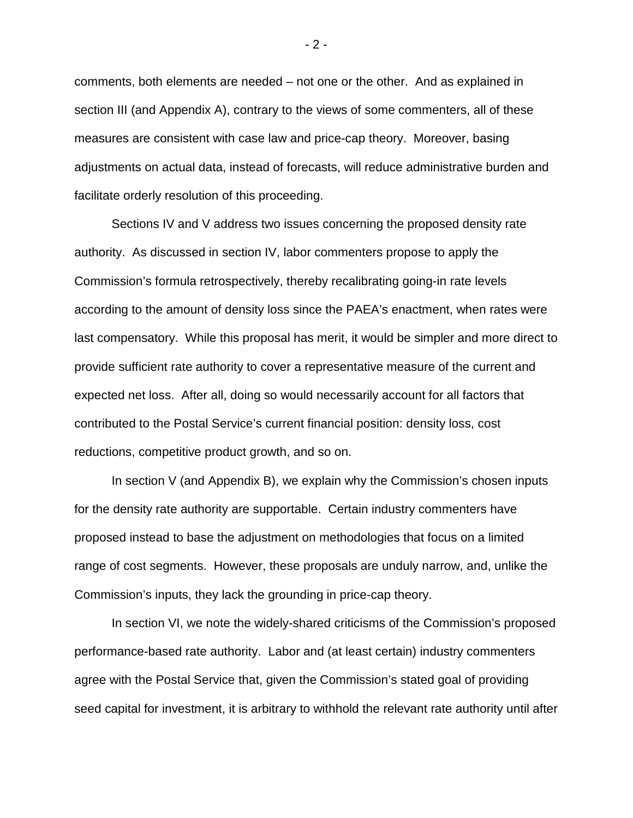comments, both elements are needed – not one or the other. And as explained in section III (and Appendix A), contrary to the views of some commenters, all of these measures are consistent with case law and price-cap theory. Moreover, basing adjustments on actual data, instead of forecasts, will reduce administrative burden and facilitate orderly resolution of this proceeding.

Sections IV and V address two issues concerning the proposed density rate authority. As discussed in section IV, labor commenters propose to apply the Commission's formula retrospectively, thereby recalibrating going-in rate levels according to the amount of density loss since the PAEA's enactment, when rates were last compensatory. While this proposal has merit, it would be simpler and more direct to provide sufficient rate authority to cover a representative measure of the current and expected net loss. After all, doing so would necessarily account for all factors that contributed to the Postal Service's current financial position: density loss, cost reductions, competitive product growth, and so on.

In section V (and Appendix B), we explain why the Commission's chosen inputs for the density rate authority are supportable. Certain industry commenters have proposed instead to base the adjustment on methodologies that focus on a limited range of cost segments. However, these proposals are unduly narrow, and, unlike the Commission's inputs, they lack the grounding in price-cap theory.

In section VI, we note the widely-shared criticisms of the Commission's proposed performance-based rate authority. Labor and (at least certain) industry commenters agree with the Postal Service that, given the Commission's stated goal of providing seed capital for investment, it is arbitrary to withhold the relevant rate authority until after

- 2 -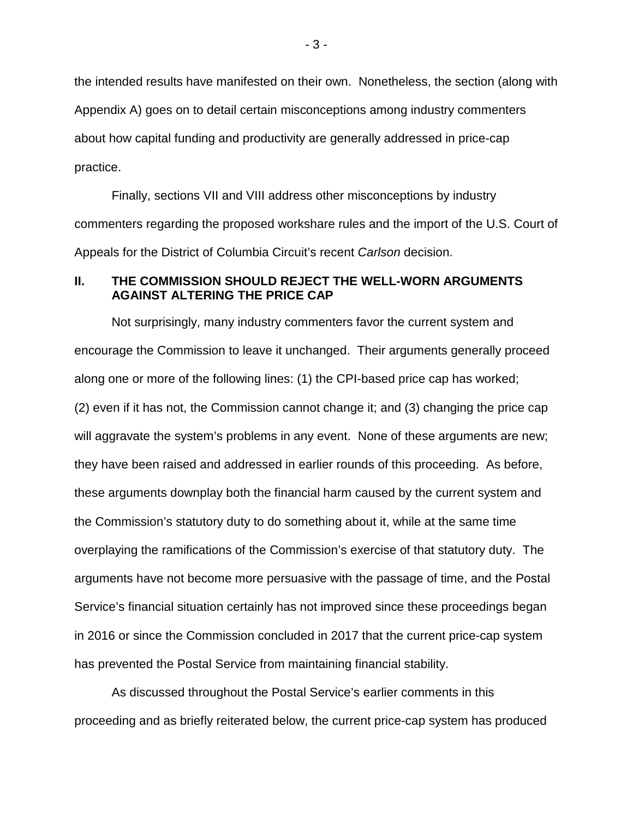the intended results have manifested on their own. Nonetheless, the section (along with Appendix A) goes on to detail certain misconceptions among industry commenters about how capital funding and productivity are generally addressed in price-cap practice.

Finally, sections VII and VIII address other misconceptions by industry commenters regarding the proposed workshare rules and the import of the U.S. Court of Appeals for the District of Columbia Circuit's recent *Carlson* decision.

## <span id="page-4-0"></span>**II. THE COMMISSION SHOULD REJECT THE WELL-WORN ARGUMENTS AGAINST ALTERING THE PRICE CAP**

Not surprisingly, many industry commenters favor the current system and encourage the Commission to leave it unchanged. Their arguments generally proceed along one or more of the following lines: (1) the CPI-based price cap has worked; (2) even if it has not, the Commission cannot change it; and (3) changing the price cap will aggravate the system's problems in any event. None of these arguments are new; they have been raised and addressed in earlier rounds of this proceeding. As before, these arguments downplay both the financial harm caused by the current system and the Commission's statutory duty to do something about it, while at the same time overplaying the ramifications of the Commission's exercise of that statutory duty. The arguments have not become more persuasive with the passage of time, and the Postal Service's financial situation certainly has not improved since these proceedings began in 2016 or since the Commission concluded in 2017 that the current price-cap system has prevented the Postal Service from maintaining financial stability.

As discussed throughout the Postal Service's earlier comments in this proceeding and as briefly reiterated below, the current price-cap system has produced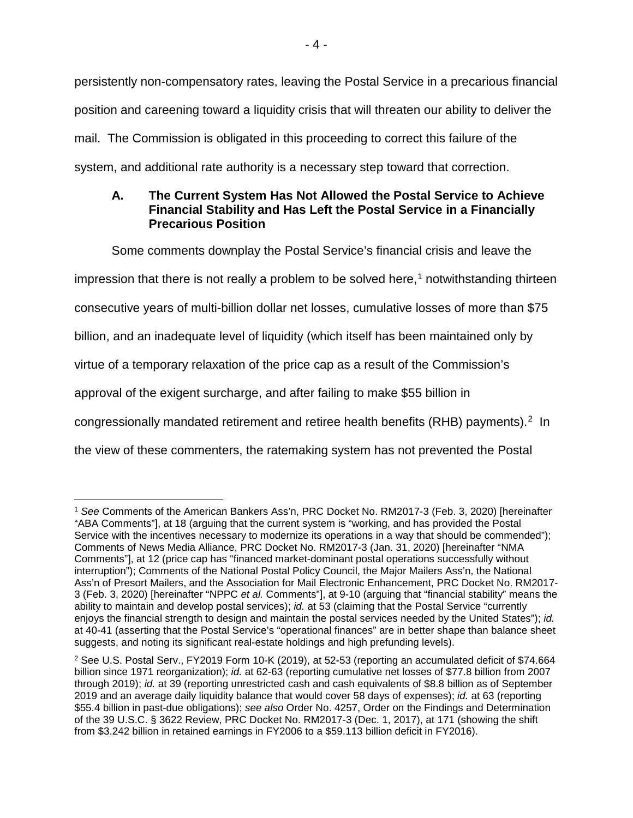persistently non-compensatory rates, leaving the Postal Service in a precarious financial position and careening toward a liquidity crisis that will threaten our ability to deliver the mail. The Commission is obligated in this proceeding to correct this failure of the system, and additional rate authority is a necessary step toward that correction.

# <span id="page-5-0"></span>**A. The Current System Has Not Allowed the Postal Service to Achieve Financial Stability and Has Left the Postal Service in a Financially Precarious Position**

Some comments downplay the Postal Service's financial crisis and leave the

impression that there is not really a problem to be solved here,<sup>[1](#page-5-1)</sup> notwithstanding thirteen

consecutive years of multi-billion dollar net losses, cumulative losses of more than \$75

billion, and an inadequate level of liquidity (which itself has been maintained only by

virtue of a temporary relaxation of the price cap as a result of the Commission's

approval of the exigent surcharge, and after failing to make \$55 billion in

congressionally mandated retirement and retiree health benefits (RHB) payments).<sup>[2](#page-5-2)</sup> In

the view of these commenters, the ratemaking system has not prevented the Postal

<span id="page-5-1"></span> <sup>1</sup> *See* Comments of the American Bankers Ass'n, PRC Docket No. RM2017-3 (Feb. 3, 2020) [hereinafter "ABA Comments"], at 18 (arguing that the current system is "working, and has provided the Postal Service with the incentives necessary to modernize its operations in a way that should be commended"); Comments of News Media Alliance, PRC Docket No. RM2017-3 (Jan. 31, 2020) [hereinafter "NMA Comments"], at 12 (price cap has "financed market-dominant postal operations successfully without interruption"); Comments of the National Postal Policy Council, the Major Mailers Ass'n, the National Ass'n of Presort Mailers, and the Association for Mail Electronic Enhancement, PRC Docket No. RM2017- 3 (Feb. 3, 2020) [hereinafter "NPPC *et al.* Comments"], at 9-10 (arguing that "financial stability" means the ability to maintain and develop postal services); *id.* at 53 (claiming that the Postal Service "currently enjoys the financial strength to design and maintain the postal services needed by the United States"); *id.* at 40-41 (asserting that the Postal Service's "operational finances" are in better shape than balance sheet suggests, and noting its significant real-estate holdings and high prefunding levels).

<span id="page-5-2"></span><sup>2</sup> See U.S. Postal Serv., FY2019 Form 10-K (2019), at 52-53 (reporting an accumulated deficit of \$74.664 billion since 1971 reorganization); *id.* at 62-63 (reporting cumulative net losses of \$77.8 billion from 2007 through 2019); *id.* at 39 (reporting unrestricted cash and cash equivalents of \$8.8 billion as of September 2019 and an average daily liquidity balance that would cover 58 days of expenses); *id.* at 63 (reporting \$55.4 billion in past-due obligations); *see also* Order No. 4257, Order on the Findings and Determination of the 39 U.S.C. § 3622 Review, PRC Docket No. RM2017-3 (Dec. 1, 2017), at 171 (showing the shift from \$3.242 billion in retained earnings in FY2006 to a \$59.113 billion deficit in FY2016).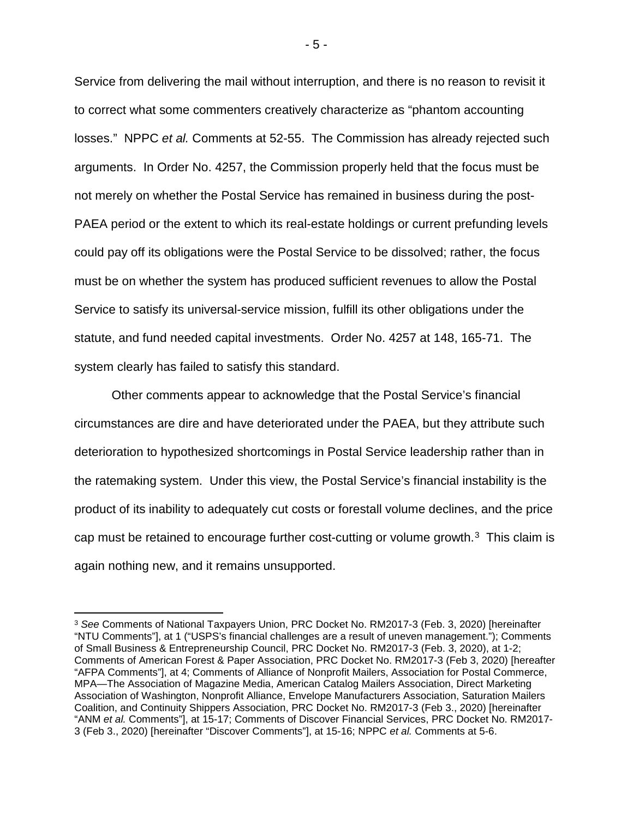Service from delivering the mail without interruption, and there is no reason to revisit it to correct what some commenters creatively characterize as "phantom accounting losses." NPPC *et al.* Comments at 52-55. The Commission has already rejected such arguments. In Order No. 4257, the Commission properly held that the focus must be not merely on whether the Postal Service has remained in business during the post-PAEA period or the extent to which its real-estate holdings or current prefunding levels could pay off its obligations were the Postal Service to be dissolved; rather, the focus must be on whether the system has produced sufficient revenues to allow the Postal Service to satisfy its universal-service mission, fulfill its other obligations under the statute, and fund needed capital investments. Order No. 4257 at 148, 165-71. The system clearly has failed to satisfy this standard.

Other comments appear to acknowledge that the Postal Service's financial circumstances are dire and have deteriorated under the PAEA, but they attribute such deterioration to hypothesized shortcomings in Postal Service leadership rather than in the ratemaking system. Under this view, the Postal Service's financial instability is the product of its inability to adequately cut costs or forestall volume declines, and the price cap must be retained to encourage further cost-cutting or volume growth. $3$  This claim is again nothing new, and it remains unsupported.

- 5 -

<span id="page-6-0"></span> <sup>3</sup> *See* Comments of National Taxpayers Union, PRC Docket No. RM2017-3 (Feb. 3, 2020) [hereinafter "NTU Comments"], at 1 ("USPS's financial challenges are a result of uneven management."); Comments of Small Business & Entrepreneurship Council, PRC Docket No. RM2017-3 (Feb. 3, 2020), at 1-2; Comments of American Forest & Paper Association, PRC Docket No. RM2017-3 (Feb 3, 2020) [hereafter "AFPA Comments"], at 4; Comments of Alliance of Nonprofit Mailers, Association for Postal Commerce, MPA—The Association of Magazine Media, American Catalog Mailers Association, Direct Marketing Association of Washington, Nonprofit Alliance, Envelope Manufacturers Association, Saturation Mailers Coalition, and Continuity Shippers Association, PRC Docket No. RM2017-3 (Feb 3., 2020) [hereinafter "ANM *et al.* Comments"], at 15-17; Comments of Discover Financial Services, PRC Docket No. RM2017- 3 (Feb 3., 2020) [hereinafter "Discover Comments"], at 15-16; NPPC *et al.* Comments at 5-6.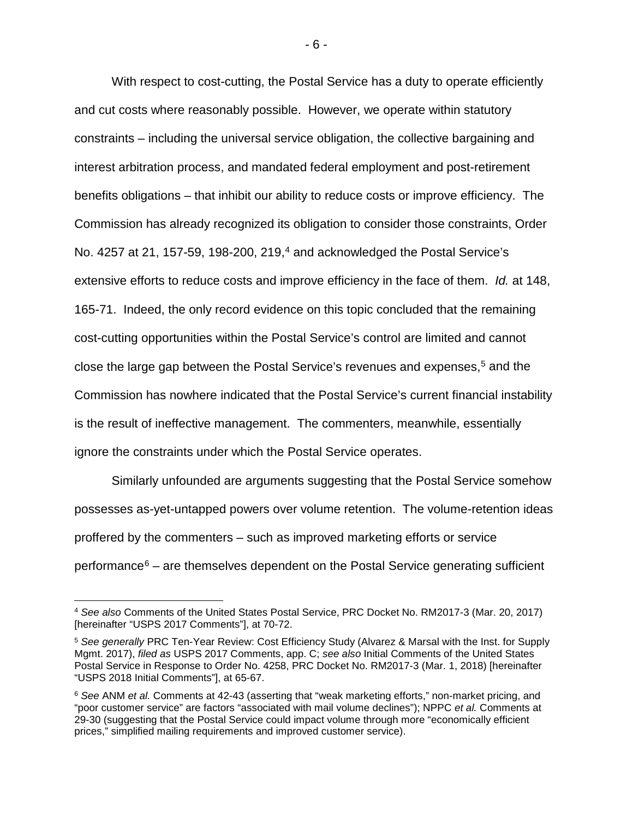With respect to cost-cutting, the Postal Service has a duty to operate efficiently and cut costs where reasonably possible. However, we operate within statutory constraints – including the universal service obligation, the collective bargaining and interest arbitration process, and mandated federal employment and post-retirement benefits obligations – that inhibit our ability to reduce costs or improve efficiency. The Commission has already recognized its obligation to consider those constraints, Order No. 4257 at 21, 157-59, 198-200, 219, [4](#page-7-0) and acknowledged the Postal Service's extensive efforts to reduce costs and improve efficiency in the face of them. *Id.* at 148, 165-71. Indeed, the only record evidence on this topic concluded that the remaining cost-cutting opportunities within the Postal Service's control are limited and cannot close the large gap between the Postal Service's revenues and expenses, [5](#page-7-1) and the Commission has nowhere indicated that the Postal Service's current financial instability is the result of ineffective management. The commenters, meanwhile, essentially ignore the constraints under which the Postal Service operates.

Similarly unfounded are arguments suggesting that the Postal Service somehow possesses as-yet-untapped powers over volume retention. The volume-retention ideas proffered by the commenters – such as improved marketing efforts or service performance $6 6 -$  are themselves dependent on the Postal Service generating sufficient

<span id="page-7-0"></span> <sup>4</sup> *See also* Comments of the United States Postal Service, PRC Docket No. RM2017-3 (Mar. 20, 2017) [hereinafter "USPS 2017 Comments"], at 70-72.

<span id="page-7-1"></span><sup>5</sup> *See generally* PRC Ten-Year Review: Cost Efficiency Study (Alvarez & Marsal with the Inst. for Supply Mgmt. 2017), *filed as* USPS 2017 Comments, app. C; *see also* Initial Comments of the United States Postal Service in Response to Order No. 4258, PRC Docket No. RM2017-3 (Mar. 1, 2018) [hereinafter "USPS 2018 Initial Comments"], at 65-67.

<span id="page-7-2"></span><sup>6</sup> *See* ANM *et al.* Comments at 42-43 (asserting that "weak marketing efforts," non-market pricing, and "poor customer service" are factors "associated with mail volume declines"); NPPC *et al.* Comments at 29-30 (suggesting that the Postal Service could impact volume through more "economically efficient prices," simplified mailing requirements and improved customer service).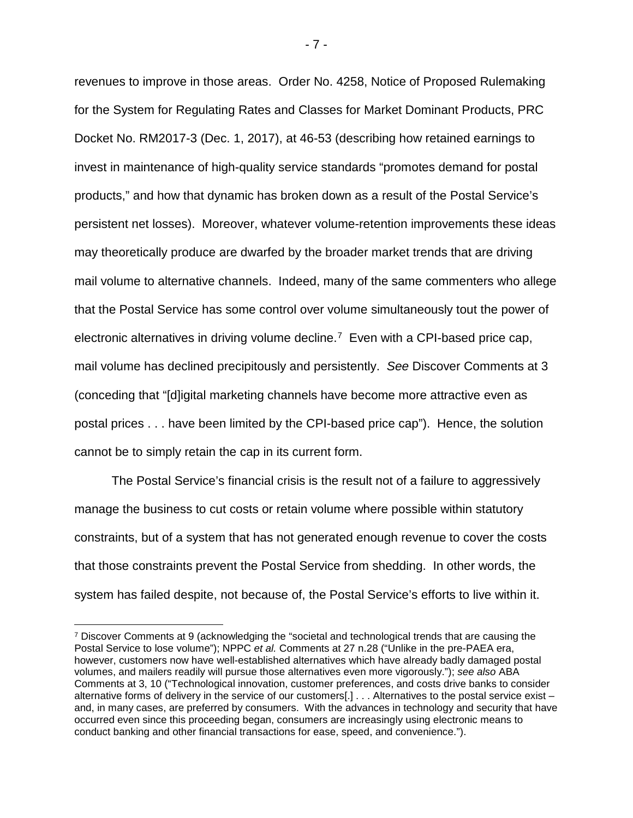revenues to improve in those areas. Order No. 4258, Notice of Proposed Rulemaking for the System for Regulating Rates and Classes for Market Dominant Products, PRC Docket No. RM2017-3 (Dec. 1, 2017), at 46-53 (describing how retained earnings to invest in maintenance of high-quality service standards "promotes demand for postal products," and how that dynamic has broken down as a result of the Postal Service's persistent net losses). Moreover, whatever volume-retention improvements these ideas may theoretically produce are dwarfed by the broader market trends that are driving mail volume to alternative channels. Indeed, many of the same commenters who allege that the Postal Service has some control over volume simultaneously tout the power of electronic alternatives in driving volume decline.[7](#page-8-0) Even with a CPI-based price cap, mail volume has declined precipitously and persistently. *See* Discover Comments at 3 (conceding that "[d]igital marketing channels have become more attractive even as postal prices . . . have been limited by the CPI-based price cap"). Hence, the solution cannot be to simply retain the cap in its current form.

The Postal Service's financial crisis is the result not of a failure to aggressively manage the business to cut costs or retain volume where possible within statutory constraints, but of a system that has not generated enough revenue to cover the costs that those constraints prevent the Postal Service from shedding. In other words, the system has failed despite, not because of, the Postal Service's efforts to live within it.

- 7 -

<span id="page-8-0"></span> <sup>7</sup> Discover Comments at 9 (acknowledging the "societal and technological trends that are causing the Postal Service to lose volume"); NPPC *et al.* Comments at 27 n.28 ("Unlike in the pre-PAEA era, however, customers now have well-established alternatives which have already badly damaged postal volumes, and mailers readily will pursue those alternatives even more vigorously."); *see also* ABA Comments at 3, 10 ("Technological innovation, customer preferences, and costs drive banks to consider alternative forms of delivery in the service of our customers[.] . . . Alternatives to the postal service exist – and, in many cases, are preferred by consumers. With the advances in technology and security that have occurred even since this proceeding began, consumers are increasingly using electronic means to conduct banking and other financial transactions for ease, speed, and convenience.").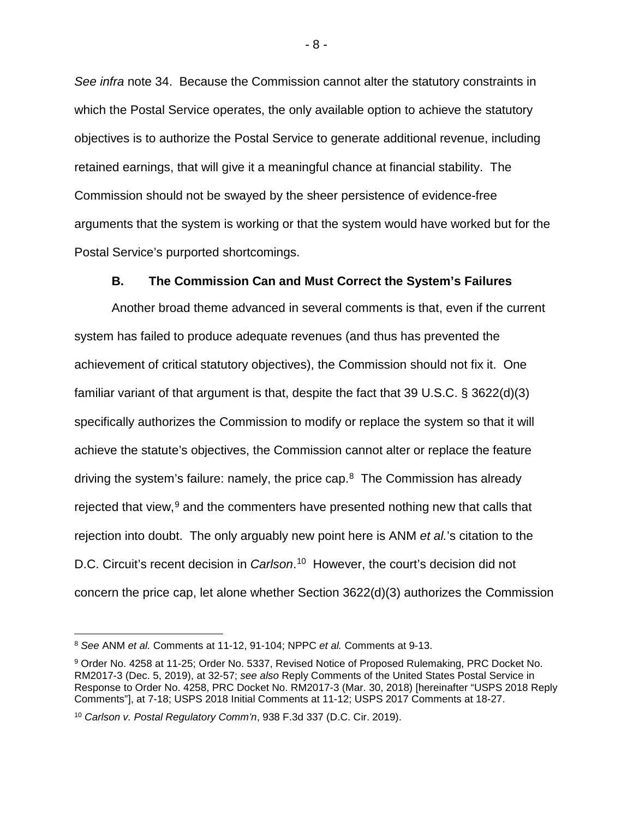*See infra* note [34.](#page-28-0) Because the Commission cannot alter the statutory constraints in which the Postal Service operates, the only available option to achieve the statutory objectives is to authorize the Postal Service to generate additional revenue, including retained earnings, that will give it a meaningful chance at financial stability. The Commission should not be swayed by the sheer persistence of evidence-free arguments that the system is working or that the system would have worked but for the Postal Service's purported shortcomings.

### **B. The Commission Can and Must Correct the System's Failures**

<span id="page-9-0"></span>Another broad theme advanced in several comments is that, even if the current system has failed to produce adequate revenues (and thus has prevented the achievement of critical statutory objectives), the Commission should not fix it. One familiar variant of that argument is that, despite the fact that 39 U.S.C. § 3622(d)(3) specifically authorizes the Commission to modify or replace the system so that it will achieve the statute's objectives, the Commission cannot alter or replace the feature driving the system's failure: namely, the price cap. $8$  The Commission has already rejected that view,<sup>[9](#page-9-2)</sup> and the commenters have presented nothing new that calls that rejection into doubt. The only arguably new point here is ANM *et al.*'s citation to the D.C. Circuit's recent decision in *Carlson*. [10](#page-9-3) However, the court's decision did not concern the price cap, let alone whether Section 3622(d)(3) authorizes the Commission

<span id="page-9-1"></span> <sup>8</sup> *See* ANM *et al.* Comments at 11-12, 91-104; NPPC *et al.* Comments at 9-13.

<span id="page-9-2"></span><sup>9</sup> Order No. 4258 at 11-25; Order No. 5337, Revised Notice of Proposed Rulemaking, PRC Docket No. RM2017-3 (Dec. 5, 2019), at 32-57; *see also* Reply Comments of the United States Postal Service in Response to Order No. 4258, PRC Docket No. RM2017-3 (Mar. 30, 2018) [hereinafter "USPS 2018 Reply Comments"], at 7-18; USPS 2018 Initial Comments at 11-12; USPS 2017 Comments at 18-27.

<span id="page-9-3"></span><sup>10</sup> *Carlson v. Postal Regulatory Comm'n*, 938 F.3d 337 (D.C. Cir. 2019).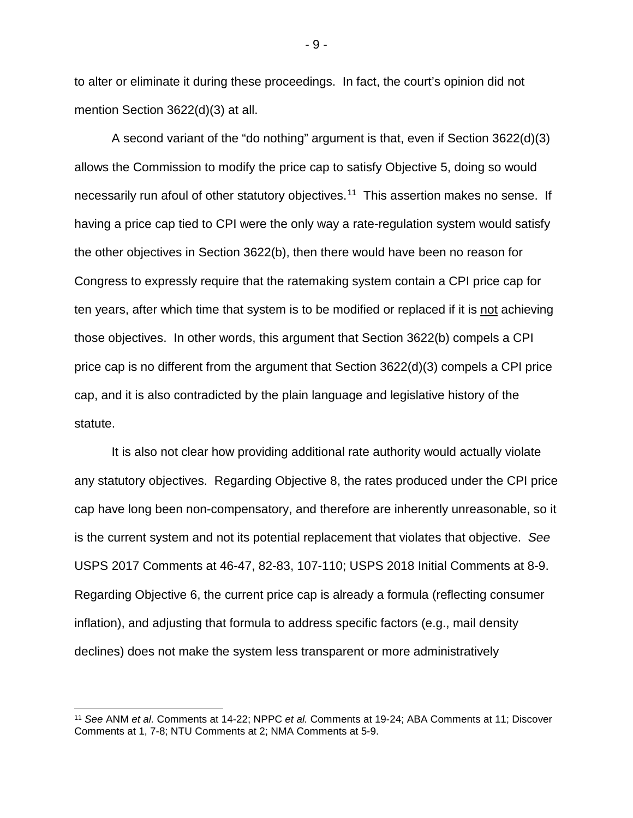to alter or eliminate it during these proceedings. In fact, the court's opinion did not mention Section 3622(d)(3) at all.

A second variant of the "do nothing" argument is that, even if Section 3622(d)(3) allows the Commission to modify the price cap to satisfy Objective 5, doing so would necessarily run afoul of other statutory objectives.<sup>[11](#page-10-0)</sup> This assertion makes no sense. If having a price cap tied to CPI were the only way a rate-regulation system would satisfy the other objectives in Section 3622(b), then there would have been no reason for Congress to expressly require that the ratemaking system contain a CPI price cap for ten years, after which time that system is to be modified or replaced if it is not achieving those objectives. In other words, this argument that Section 3622(b) compels a CPI price cap is no different from the argument that Section 3622(d)(3) compels a CPI price cap, and it is also contradicted by the plain language and legislative history of the statute.

It is also not clear how providing additional rate authority would actually violate any statutory objectives. Regarding Objective 8, the rates produced under the CPI price cap have long been non-compensatory, and therefore are inherently unreasonable, so it is the current system and not its potential replacement that violates that objective. *See* USPS 2017 Comments at 46-47, 82-83, 107-110; USPS 2018 Initial Comments at 8-9. Regarding Objective 6, the current price cap is already a formula (reflecting consumer inflation), and adjusting that formula to address specific factors (e.g., mail density declines) does not make the system less transparent or more administratively

- 9 -

<span id="page-10-0"></span> <sup>11</sup> *See* ANM *et al.* Comments at 14-22; NPPC *et al.* Comments at 19-24; ABA Comments at 11; Discover Comments at 1, 7-8; NTU Comments at 2; NMA Comments at 5-9.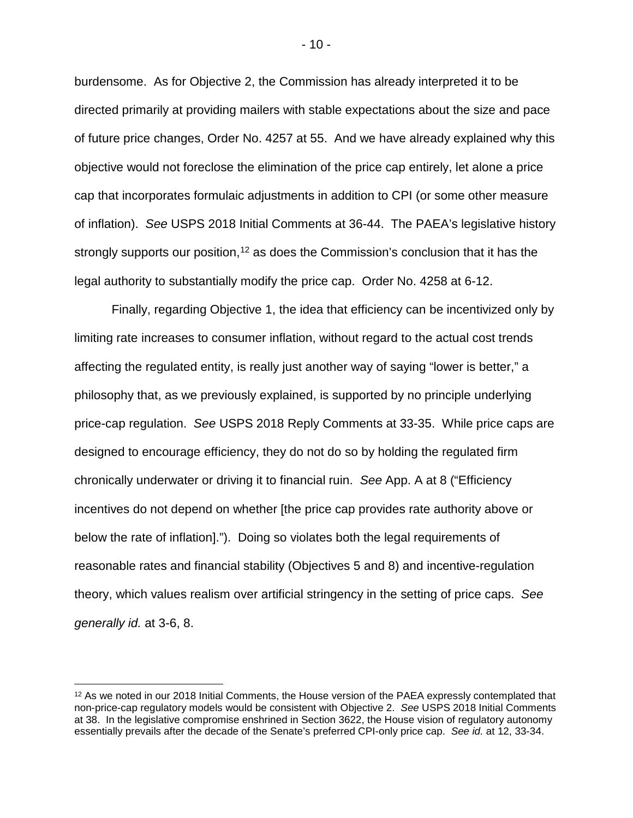burdensome. As for Objective 2, the Commission has already interpreted it to be directed primarily at providing mailers with stable expectations about the size and pace of future price changes, Order No. 4257 at 55. And we have already explained why this objective would not foreclose the elimination of the price cap entirely, let alone a price cap that incorporates formulaic adjustments in addition to CPI (or some other measure of inflation). *See* USPS 2018 Initial Comments at 36-44. The PAEA's legislative history strongly supports our position,<sup>[12](#page-11-0)</sup> as does the Commission's conclusion that it has the legal authority to substantially modify the price cap. Order No. 4258 at 6-12.

Finally, regarding Objective 1, the idea that efficiency can be incentivized only by limiting rate increases to consumer inflation, without regard to the actual cost trends affecting the regulated entity, is really just another way of saying "lower is better," a philosophy that, as we previously explained, is supported by no principle underlying price-cap regulation. *See* USPS 2018 Reply Comments at 33-35. While price caps are designed to encourage efficiency, they do not do so by holding the regulated firm chronically underwater or driving it to financial ruin. *See* App. A at 8 ("Efficiency incentives do not depend on whether [the price cap provides rate authority above or below the rate of inflation]."). Doing so violates both the legal requirements of reasonable rates and financial stability (Objectives 5 and 8) and incentive-regulation theory, which values realism over artificial stringency in the setting of price caps. *See generally id.* at 3-6, 8.

- 10 -

<span id="page-11-0"></span><sup>&</sup>lt;sup>12</sup> As we noted in our 2018 Initial Comments, the House version of the PAEA expressly contemplated that non-price-cap regulatory models would be consistent with Objective 2. *See* USPS 2018 Initial Comments at 38. In the legislative compromise enshrined in Section 3622, the House vision of regulatory autonomy essentially prevails after the decade of the Senate's preferred CPI-only price cap. *See id.* at 12, 33-34.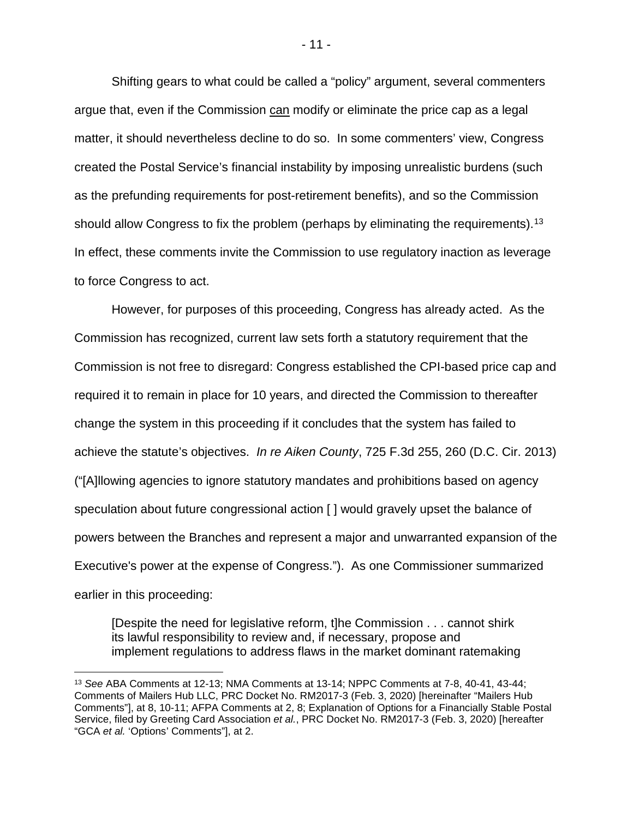Shifting gears to what could be called a "policy" argument, several commenters argue that, even if the Commission can modify or eliminate the price cap as a legal matter, it should nevertheless decline to do so. In some commenters' view, Congress created the Postal Service's financial instability by imposing unrealistic burdens (such as the prefunding requirements for post-retirement benefits), and so the Commission should allow Congress to fix the problem (perhaps by eliminating the requirements).<sup>13</sup> In effect, these comments invite the Commission to use regulatory inaction as leverage to force Congress to act.

However, for purposes of this proceeding, Congress has already acted. As the Commission has recognized, current law sets forth a statutory requirement that the Commission is not free to disregard: Congress established the CPI-based price cap and required it to remain in place for 10 years, and directed the Commission to thereafter change the system in this proceeding if it concludes that the system has failed to achieve the statute's objectives. *In re Aiken County*, 725 F.3d 255, 260 (D.C. Cir. 2013) ("[A]llowing agencies to ignore statutory mandates and prohibitions based on agency speculation about future congressional action [ ] would gravely upset the balance of powers between the Branches and represent a major and unwarranted expansion of the Executive's power at the expense of Congress."). As one Commissioner summarized earlier in this proceeding:

[Despite the need for legislative reform, t]he Commission . . . cannot shirk its lawful responsibility to review and, if necessary, propose and implement regulations to address flaws in the market dominant ratemaking

- 11 -

<span id="page-12-0"></span> <sup>13</sup> *See* ABA Comments at 12-13; NMA Comments at 13-14; NPPC Comments at 7-8, 40-41, 43-44; Comments of Mailers Hub LLC, PRC Docket No. RM2017-3 (Feb. 3, 2020) [hereinafter "Mailers Hub Comments"], at 8, 10-11; AFPA Comments at 2, 8; Explanation of Options for a Financially Stable Postal Service, filed by Greeting Card Association *et al.*, PRC Docket No. RM2017-3 (Feb. 3, 2020) [hereafter "GCA *et al.* 'Options' Comments"], at 2.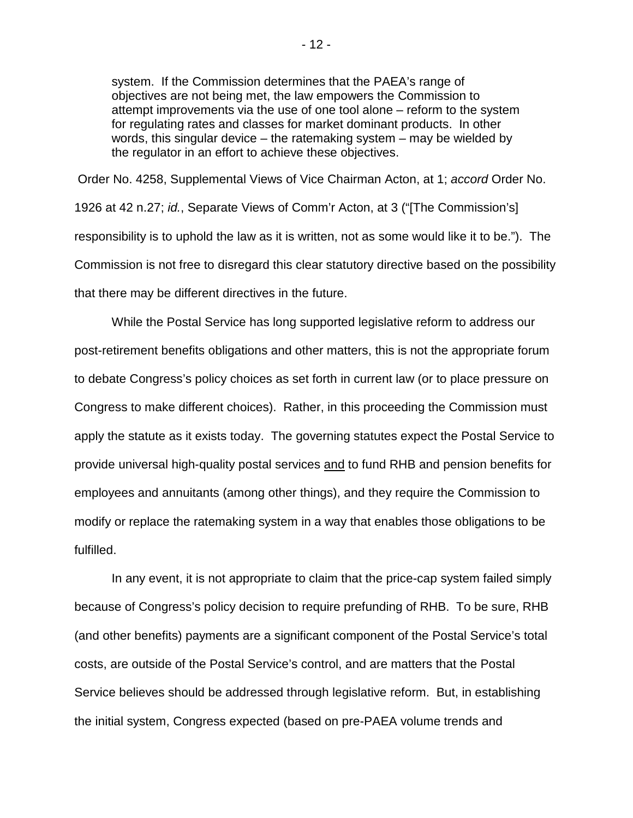system. If the Commission determines that the PAEA's range of objectives are not being met, the law empowers the Commission to attempt improvements via the use of one tool alone – reform to the system for regulating rates and classes for market dominant products. In other words, this singular device – the ratemaking system – may be wielded by the regulator in an effort to achieve these objectives.

Order No. 4258, Supplemental Views of Vice Chairman Acton, at 1; *accord* Order No. 1926 at 42 n.27; *id.*, Separate Views of Comm'r Acton, at 3 ("[The Commission's] responsibility is to uphold the law as it is written, not as some would like it to be."). The Commission is not free to disregard this clear statutory directive based on the possibility that there may be different directives in the future.

While the Postal Service has long supported legislative reform to address our post-retirement benefits obligations and other matters, this is not the appropriate forum to debate Congress's policy choices as set forth in current law (or to place pressure on Congress to make different choices). Rather, in this proceeding the Commission must apply the statute as it exists today. The governing statutes expect the Postal Service to provide universal high-quality postal services and to fund RHB and pension benefits for employees and annuitants (among other things), and they require the Commission to modify or replace the ratemaking system in a way that enables those obligations to be fulfilled.

In any event, it is not appropriate to claim that the price-cap system failed simply because of Congress's policy decision to require prefunding of RHB. To be sure, RHB (and other benefits) payments are a significant component of the Postal Service's total costs, are outside of the Postal Service's control, and are matters that the Postal Service believes should be addressed through legislative reform. But, in establishing the initial system, Congress expected (based on pre-PAEA volume trends and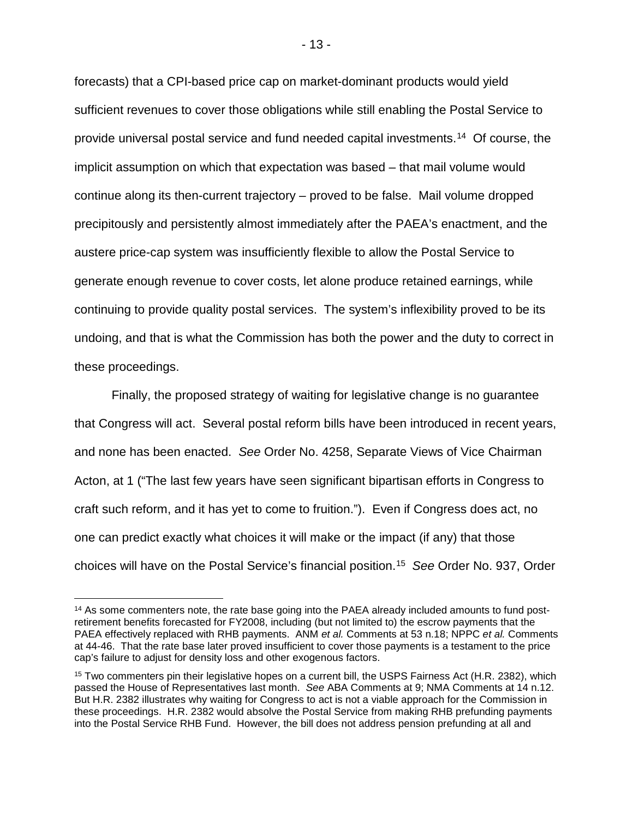forecasts) that a CPI-based price cap on market-dominant products would yield sufficient revenues to cover those obligations while still enabling the Postal Service to provide universal postal service and fund needed capital investments.[14](#page-14-0) Of course, the implicit assumption on which that expectation was based – that mail volume would continue along its then-current trajectory – proved to be false. Mail volume dropped precipitously and persistently almost immediately after the PAEA's enactment, and the austere price-cap system was insufficiently flexible to allow the Postal Service to generate enough revenue to cover costs, let alone produce retained earnings, while continuing to provide quality postal services. The system's inflexibility proved to be its undoing, and that is what the Commission has both the power and the duty to correct in these proceedings.

Finally, the proposed strategy of waiting for legislative change is no guarantee that Congress will act. Several postal reform bills have been introduced in recent years, and none has been enacted. *See* Order No. 4258, Separate Views of Vice Chairman Acton, at 1 ("The last few years have seen significant bipartisan efforts in Congress to craft such reform, and it has yet to come to fruition."). Even if Congress does act, no one can predict exactly what choices it will make or the impact (if any) that those choices will have on the Postal Service's financial position[.15](#page-14-1) *See* Order No. 937, Order

<span id="page-14-0"></span> <sup>14</sup> As some commenters note, the rate base going into the PAEA already included amounts to fund postretirement benefits forecasted for FY2008, including (but not limited to) the escrow payments that the PAEA effectively replaced with RHB payments. ANM *et al.* Comments at 53 n.18; NPPC *et al.* Comments at 44-46. That the rate base later proved insufficient to cover those payments is a testament to the price cap's failure to adjust for density loss and other exogenous factors.

<span id="page-14-1"></span><sup>&</sup>lt;sup>15</sup> Two commenters pin their legislative hopes on a current bill, the USPS Fairness Act (H.R. 2382), which passed the House of Representatives last month. *See* ABA Comments at 9; NMA Comments at 14 n.12. But H.R. 2382 illustrates why waiting for Congress to act is not a viable approach for the Commission in these proceedings. H.R. 2382 would absolve the Postal Service from making RHB prefunding payments into the Postal Service RHB Fund. However, the bill does not address pension prefunding at all and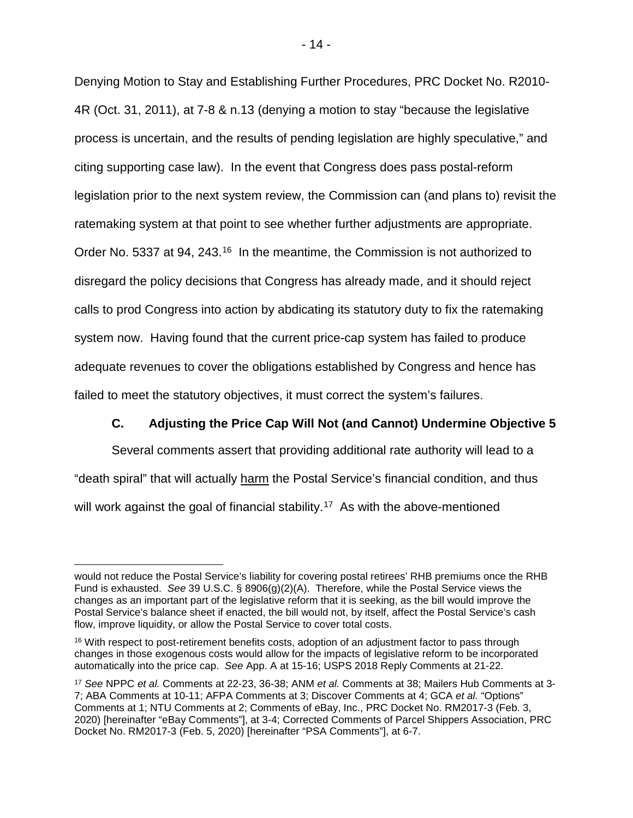Denying Motion to Stay and Establishing Further Procedures, PRC Docket No. R2010- 4R (Oct. 31, 2011), at 7-8 & n.13 (denying a motion to stay "because the legislative process is uncertain, and the results of pending legislation are highly speculative," and citing supporting case law). In the event that Congress does pass postal-reform legislation prior to the next system review, the Commission can (and plans to) revisit the ratemaking system at that point to see whether further adjustments are appropriate. Order No. 5337 at 94, 243.<sup>[16](#page-15-1)</sup> In the meantime, the Commission is not authorized to disregard the policy decisions that Congress has already made, and it should reject calls to prod Congress into action by abdicating its statutory duty to fix the ratemaking system now. Having found that the current price-cap system has failed to produce adequate revenues to cover the obligations established by Congress and hence has failed to meet the statutory objectives, it must correct the system's failures.

# **C. Adjusting the Price Cap Will Not (and Cannot) Undermine Objective 5**

<span id="page-15-0"></span>Several comments assert that providing additional rate authority will lead to a "death spiral" that will actually harm the Postal Service's financial condition, and thus will work against the goal of financial stability.<sup>[17](#page-15-2)</sup> As with the above-mentioned

would not reduce the Postal Service's liability for covering postal retirees' RHB premiums once the RHB Fund is exhausted. *See* 39 U.S.C. § 8906(g)(2)(A). Therefore, while the Postal Service views the changes as an important part of the legislative reform that it is seeking, as the bill would improve the Postal Service's balance sheet if enacted, the bill would not, by itself, affect the Postal Service's cash flow, improve liquidity, or allow the Postal Service to cover total costs.

<span id="page-15-1"></span><sup>&</sup>lt;sup>16</sup> With respect to post-retirement benefits costs, adoption of an adjustment factor to pass through changes in those exogenous costs would allow for the impacts of legislative reform to be incorporated automatically into the price cap. *See* App. A at 15-16; USPS 2018 Reply Comments at 21-22.

<span id="page-15-2"></span><sup>17</sup> *See* NPPC *et al.* Comments at 22-23, 36-38; ANM *et al.* Comments at 38; Mailers Hub Comments at 3- 7; ABA Comments at 10-11; AFPA Comments at 3; Discover Comments at 4; GCA *et al.* "Options" Comments at 1; NTU Comments at 2; Comments of eBay, Inc., PRC Docket No. RM2017-3 (Feb. 3, 2020) [hereinafter "eBay Comments"], at 3-4; Corrected Comments of Parcel Shippers Association, PRC Docket No. RM2017-3 (Feb. 5, 2020) [hereinafter "PSA Comments"], at 6-7.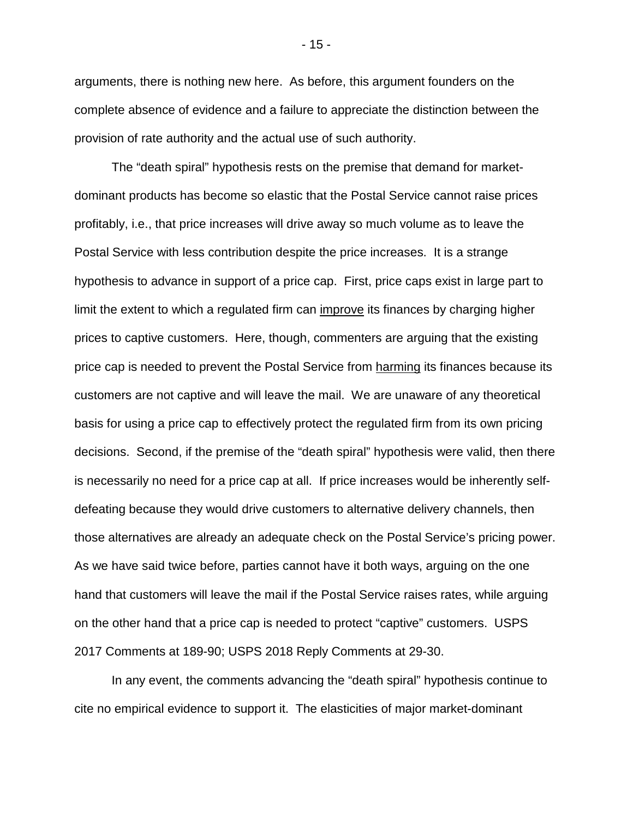arguments, there is nothing new here. As before, this argument founders on the complete absence of evidence and a failure to appreciate the distinction between the provision of rate authority and the actual use of such authority.

The "death spiral" hypothesis rests on the premise that demand for marketdominant products has become so elastic that the Postal Service cannot raise prices profitably, i.e., that price increases will drive away so much volume as to leave the Postal Service with less contribution despite the price increases. It is a strange hypothesis to advance in support of a price cap. First, price caps exist in large part to limit the extent to which a regulated firm can improve its finances by charging higher prices to captive customers. Here, though, commenters are arguing that the existing price cap is needed to prevent the Postal Service from harming its finances because its customers are not captive and will leave the mail. We are unaware of any theoretical basis for using a price cap to effectively protect the regulated firm from its own pricing decisions. Second, if the premise of the "death spiral" hypothesis were valid, then there is necessarily no need for a price cap at all. If price increases would be inherently selfdefeating because they would drive customers to alternative delivery channels, then those alternatives are already an adequate check on the Postal Service's pricing power. As we have said twice before, parties cannot have it both ways, arguing on the one hand that customers will leave the mail if the Postal Service raises rates, while arguing on the other hand that a price cap is needed to protect "captive" customers. USPS 2017 Comments at 189-90; USPS 2018 Reply Comments at 29-30.

In any event, the comments advancing the "death spiral" hypothesis continue to cite no empirical evidence to support it. The elasticities of major market-dominant

- 15 -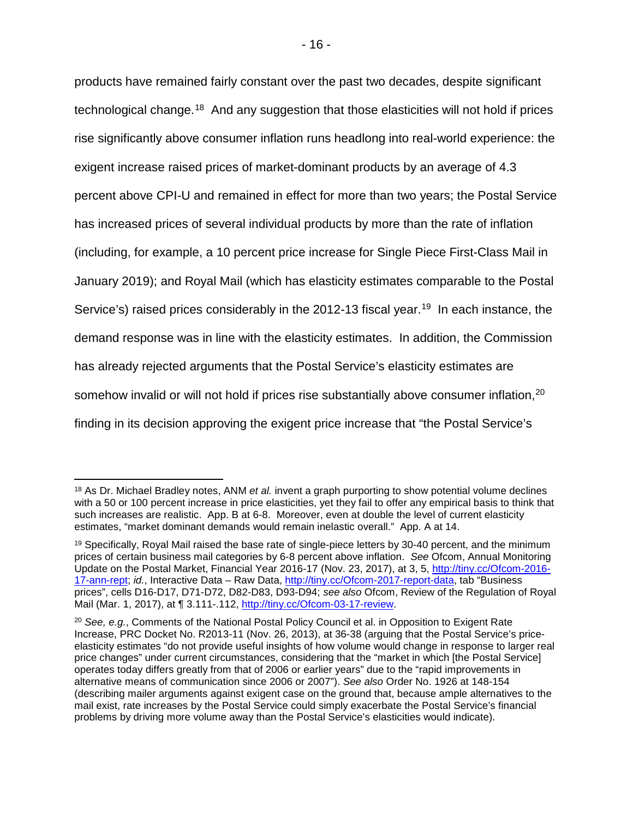products have remained fairly constant over the past two decades, despite significant technological change.[18](#page-17-0) And any suggestion that those elasticities will not hold if prices rise significantly above consumer inflation runs headlong into real-world experience: the exigent increase raised prices of market-dominant products by an average of 4.3 percent above CPI-U and remained in effect for more than two years; the Postal Service has increased prices of several individual products by more than the rate of inflation (including, for example, a 10 percent price increase for Single Piece First-Class Mail in January 2019); and Royal Mail (which has elasticity estimates comparable to the Postal Service's) raised prices considerably in the 2012-13 fiscal year.<sup>19</sup> In each instance, the demand response was in line with the elasticity estimates. In addition, the Commission has already rejected arguments that the Postal Service's elasticity estimates are somehow invalid or will not hold if prices rise substantially above consumer inflation,<sup>[20](#page-17-2)</sup> finding in its decision approving the exigent price increase that "the Postal Service's

<span id="page-17-0"></span> <sup>18</sup> As Dr. Michael Bradley notes, ANM *et al.* invent a graph purporting to show potential volume declines with a 50 or 100 percent increase in price elasticities, yet they fail to offer any empirical basis to think that such increases are realistic. App. B at 6-8. Moreover, even at double the level of current elasticity estimates, "market dominant demands would remain inelastic overall." App. A at 14.

<span id="page-17-1"></span><sup>&</sup>lt;sup>19</sup> Specifically, Royal Mail raised the base rate of single-piece letters by 30-40 percent, and the minimum prices of certain business mail categories by 6-8 percent above inflation. *See* Ofcom, Annual Monitoring Update on the Postal Market, Financial Year 2016-17 (Nov. 23, 2017), at 3, 5, [http://tiny.cc/Ofcom-2016-](http://tiny.cc/Ofcom-2016-17-ann-rept) [17-ann-rept;](http://tiny.cc/Ofcom-2016-17-ann-rept) *id.*, Interactive Data – Raw Data, [http://tiny.cc/Ofcom-2017-report-data,](http://tiny.cc/Ofcom-2017-report-data) tab "Business prices", cells D16-D17, D71-D72, D82-D83, D93-D94; *see also* Ofcom, Review of the Regulation of Royal Mail (Mar. 1, 2017), at ¶ 3.111-.112, [http://tiny.cc/Ofcom-03-17-review.](http://tiny.cc/Ofcom-03-17-review)

<span id="page-17-2"></span><sup>20</sup> *See, e.g.*, Comments of the National Postal Policy Council et al. in Opposition to Exigent Rate Increase, PRC Docket No. R2013-11 (Nov. 26, 2013), at 36-38 (arguing that the Postal Service's priceelasticity estimates "do not provide useful insights of how volume would change in response to larger real price changes" under current circumstances, considering that the "market in which [the Postal Service] operates today differs greatly from that of 2006 or earlier years" due to the "rapid improvements in alternative means of communication since 2006 or 2007"). *See also* Order No. 1926 at 148-154 (describing mailer arguments against exigent case on the ground that, because ample alternatives to the mail exist, rate increases by the Postal Service could simply exacerbate the Postal Service's financial problems by driving more volume away than the Postal Service's elasticities would indicate).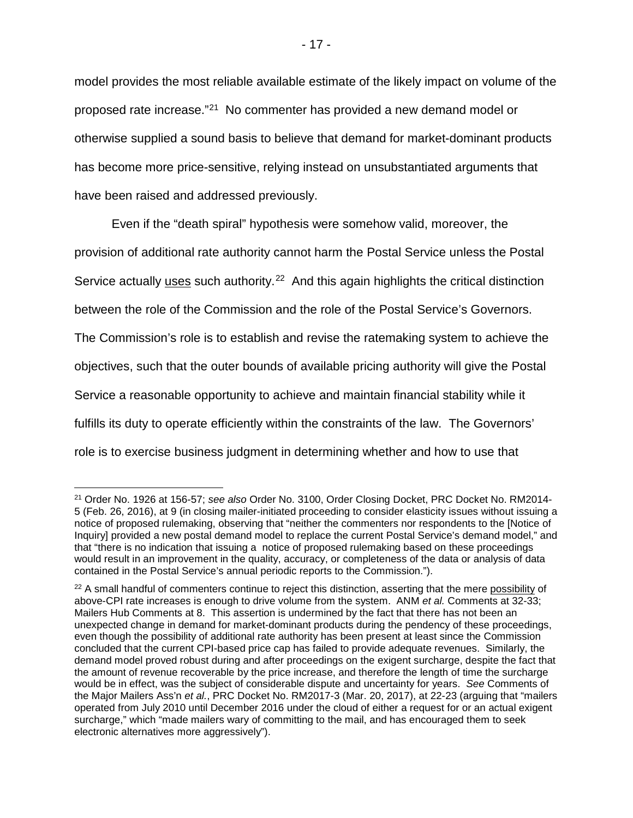model provides the most reliable available estimate of the likely impact on volume of the proposed rate increase."[21](#page-18-0) No commenter has provided a new demand model or otherwise supplied a sound basis to believe that demand for market-dominant products has become more price-sensitive, relying instead on unsubstantiated arguments that have been raised and addressed previously.

Even if the "death spiral" hypothesis were somehow valid, moreover, the provision of additional rate authority cannot harm the Postal Service unless the Postal Service actually uses such authority.<sup>22</sup> And this again highlights the critical distinction between the role of the Commission and the role of the Postal Service's Governors. The Commission's role is to establish and revise the ratemaking system to achieve the objectives, such that the outer bounds of available pricing authority will give the Postal Service a reasonable opportunity to achieve and maintain financial stability while it fulfills its duty to operate efficiently within the constraints of the law. The Governors' role is to exercise business judgment in determining whether and how to use that

<span id="page-18-0"></span> <sup>21</sup> Order No. 1926 at 156-57; *see also* Order No. 3100, Order Closing Docket, PRC Docket No. RM2014- 5 (Feb. 26, 2016), at 9 (in closing mailer-initiated proceeding to consider elasticity issues without issuing a notice of proposed rulemaking, observing that "neither the commenters nor respondents to the [Notice of Inquiry] provided a new postal demand model to replace the current Postal Service's demand model," and that "there is no indication that issuing a notice of proposed rulemaking based on these proceedings would result in an improvement in the quality, accuracy, or completeness of the data or analysis of data contained in the Postal Service's annual periodic reports to the Commission.").

<span id="page-18-1"></span><sup>&</sup>lt;sup>22</sup> A small handful of commenters continue to reject this distinction, asserting that the mere possibility of above-CPI rate increases is enough to drive volume from the system. ANM *et al.* Comments at 32-33; Mailers Hub Comments at 8. This assertion is undermined by the fact that there has not been an unexpected change in demand for market-dominant products during the pendency of these proceedings, even though the possibility of additional rate authority has been present at least since the Commission concluded that the current CPI-based price cap has failed to provide adequate revenues. Similarly, the demand model proved robust during and after proceedings on the exigent surcharge, despite the fact that the amount of revenue recoverable by the price increase, and therefore the length of time the surcharge would be in effect, was the subject of considerable dispute and uncertainty for years. *See* Comments of the Major Mailers Ass'n *et al.*, PRC Docket No. RM2017-3 (Mar. 20, 2017), at 22-23 (arguing that "mailers operated from July 2010 until December 2016 under the cloud of either a request for or an actual exigent surcharge," which "made mailers wary of committing to the mail, and has encouraged them to seek electronic alternatives more aggressively").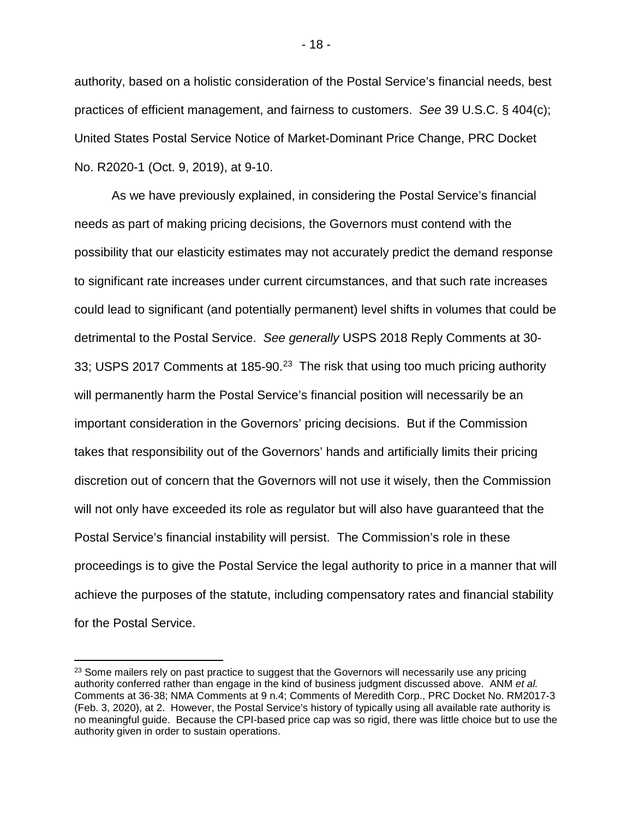authority, based on a holistic consideration of the Postal Service's financial needs, best practices of efficient management, and fairness to customers. *See* 39 U.S.C. § 404(c); United States Postal Service Notice of Market-Dominant Price Change, PRC Docket No. R2020-1 (Oct. 9, 2019), at 9-10.

As we have previously explained, in considering the Postal Service's financial needs as part of making pricing decisions, the Governors must contend with the possibility that our elasticity estimates may not accurately predict the demand response to significant rate increases under current circumstances, and that such rate increases could lead to significant (and potentially permanent) level shifts in volumes that could be detrimental to the Postal Service. *See generally* USPS 2018 Reply Comments at 30- 33; USPS 2017 Comments at 185-90.<sup>23</sup> The risk that using too much pricing authority will permanently harm the Postal Service's financial position will necessarily be an important consideration in the Governors' pricing decisions. But if the Commission takes that responsibility out of the Governors' hands and artificially limits their pricing discretion out of concern that the Governors will not use it wisely, then the Commission will not only have exceeded its role as regulator but will also have guaranteed that the Postal Service's financial instability will persist. The Commission's role in these proceedings is to give the Postal Service the legal authority to price in a manner that will achieve the purposes of the statute, including compensatory rates and financial stability for the Postal Service.

<span id="page-19-0"></span><sup>&</sup>lt;sup>23</sup> Some mailers rely on past practice to suggest that the Governors will necessarily use any pricing authority conferred rather than engage in the kind of business judgment discussed above. ANM *et al.*  Comments at 36-38; NMA Comments at 9 n.4; Comments of Meredith Corp., PRC Docket No. RM2017-3 (Feb. 3, 2020), at 2. However, the Postal Service's history of typically using all available rate authority is no meaningful guide. Because the CPI-based price cap was so rigid, there was little choice but to use the authority given in order to sustain operations.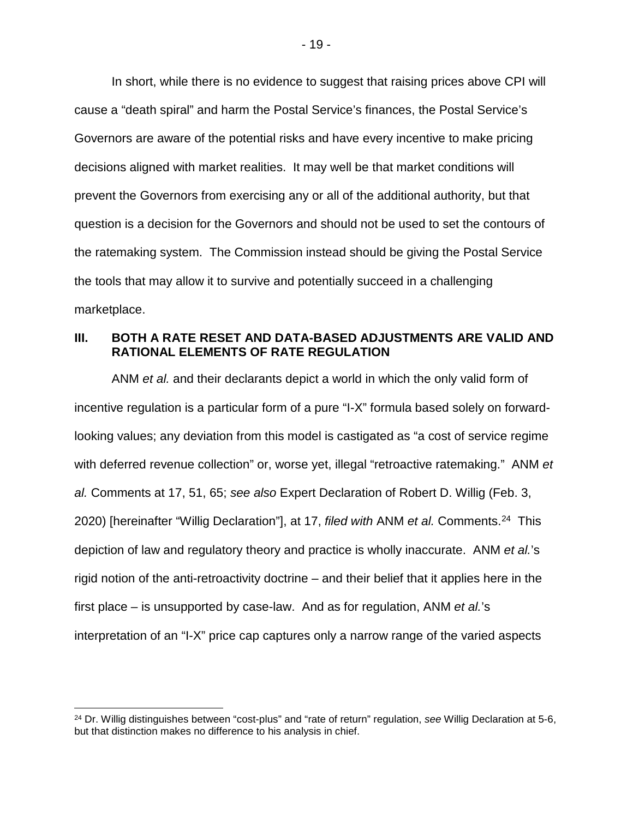In short, while there is no evidence to suggest that raising prices above CPI will cause a "death spiral" and harm the Postal Service's finances, the Postal Service's Governors are aware of the potential risks and have every incentive to make pricing decisions aligned with market realities. It may well be that market conditions will prevent the Governors from exercising any or all of the additional authority, but that question is a decision for the Governors and should not be used to set the contours of the ratemaking system. The Commission instead should be giving the Postal Service the tools that may allow it to survive and potentially succeed in a challenging marketplace.

### <span id="page-20-0"></span>**III. BOTH A RATE RESET AND DATA-BASED ADJUSTMENTS ARE VALID AND RATIONAL ELEMENTS OF RATE REGULATION**

ANM *et al.* and their declarants depict a world in which the only valid form of incentive regulation is a particular form of a pure "I-X" formula based solely on forwardlooking values; any deviation from this model is castigated as "a cost of service regime with deferred revenue collection" or, worse yet, illegal "retroactive ratemaking." ANM *et al.* Comments at 17, 51, 65; *see also* Expert Declaration of Robert D. Willig (Feb. 3, 2020) [hereinafter "Willig Declaration"], at 17, *filed with* ANM *et al.* Comments. [24](#page-20-1) This depiction of law and regulatory theory and practice is wholly inaccurate. ANM *et al.*'s rigid notion of the anti-retroactivity doctrine – and their belief that it applies here in the first place – is unsupported by case-law. And as for regulation, ANM *et al.*'s interpretation of an "I-X" price cap captures only a narrow range of the varied aspects

<span id="page-20-1"></span> <sup>24</sup> Dr. Willig distinguishes between "cost-plus" and "rate of return" regulation, *see* Willig Declaration at 5-6, but that distinction makes no difference to his analysis in chief.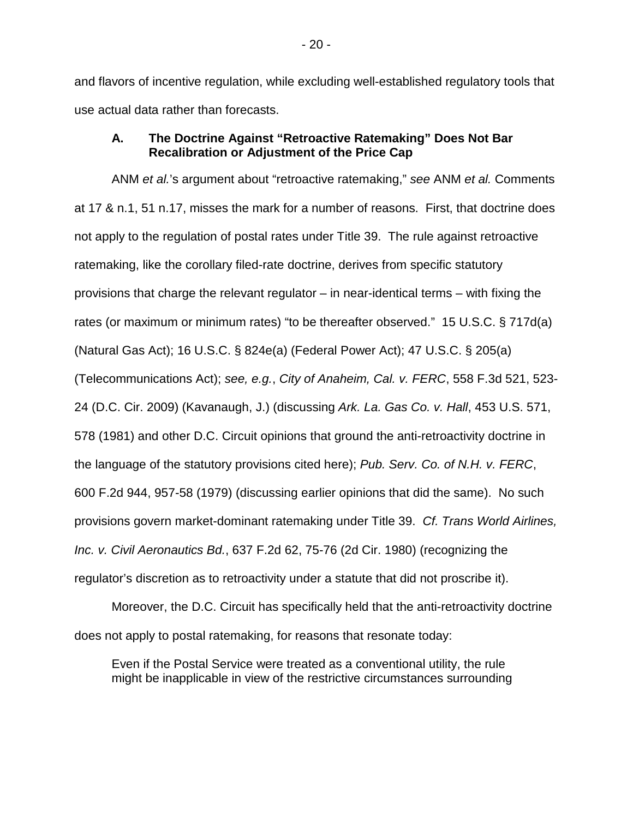and flavors of incentive regulation, while excluding well-established regulatory tools that use actual data rather than forecasts.

### <span id="page-21-0"></span>**A. The Doctrine Against "Retroactive Ratemaking" Does Not Bar Recalibration or Adjustment of the Price Cap**

ANM *et al.*'s argument about "retroactive ratemaking," *see* ANM *et al.* Comments at 17 & n.1, 51 n.17, misses the mark for a number of reasons. First, that doctrine does not apply to the regulation of postal rates under Title 39. The rule against retroactive ratemaking, like the corollary filed-rate doctrine, derives from specific statutory provisions that charge the relevant regulator – in near-identical terms – with fixing the rates (or maximum or minimum rates) "to be thereafter observed." 15 U.S.C. § 717d(a) (Natural Gas Act); 16 U.S.C. § 824e(a) (Federal Power Act); 47 U.S.C. § 205(a) (Telecommunications Act); *see, e.g.*, *City of Anaheim, Cal. v. FERC*, 558 F.3d 521, 523- 24 (D.C. Cir. 2009) (Kavanaugh, J.) (discussing *Ark. La. Gas Co. v. Hall*, 453 U.S. 571, 578 (1981) and other D.C. Circuit opinions that ground the anti-retroactivity doctrine in the language of the statutory provisions cited here); *Pub. Serv. Co. of N.H. v. FERC*, 600 F.2d 944, 957-58 (1979) (discussing earlier opinions that did the same). No such provisions govern market-dominant ratemaking under Title 39. *Cf. Trans World Airlines, Inc. v. Civil Aeronautics Bd.*, 637 F.2d 62, 75-76 (2d Cir. 1980) (recognizing the regulator's discretion as to retroactivity under a statute that did not proscribe it).

Moreover, the D.C. Circuit has specifically held that the anti-retroactivity doctrine does not apply to postal ratemaking, for reasons that resonate today:

Even if the Postal Service were treated as a conventional utility, the rule might be inapplicable in view of the restrictive circumstances surrounding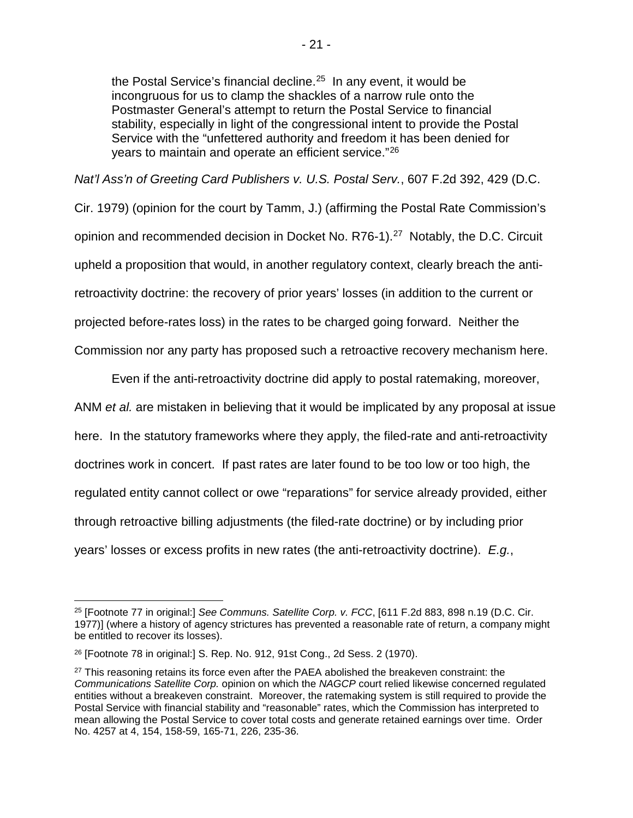the Postal Service's financial decline.<sup>25</sup> In any event, it would be incongruous for us to clamp the shackles of a narrow rule onto the Postmaster General's attempt to return the Postal Service to financial stability, especially in light of the congressional intent to provide the Postal Service with the "unfettered authority and freedom it has been denied for years to maintain and operate an efficient service."[26](#page-22-1)

*Nat'l Ass'n of Greeting Card Publishers v. U.S. Postal Serv.*, 607 F.2d 392, 429 (D.C.

Cir. 1979) (opinion for the court by Tamm, J.) (affirming the Postal Rate Commission's opinion and recommended decision in Docket No. R76-1). [27](#page-22-2) Notably, the D.C. Circuit upheld a proposition that would, in another regulatory context, clearly breach the antiretroactivity doctrine: the recovery of prior years' losses (in addition to the current or projected before-rates loss) in the rates to be charged going forward. Neither the Commission nor any party has proposed such a retroactive recovery mechanism here.

Even if the anti-retroactivity doctrine did apply to postal ratemaking, moreover, ANM *et al.* are mistaken in believing that it would be implicated by any proposal at issue here. In the statutory frameworks where they apply, the filed-rate and anti-retroactivity doctrines work in concert. If past rates are later found to be too low or too high, the regulated entity cannot collect or owe "reparations" for service already provided, either through retroactive billing adjustments (the filed-rate doctrine) or by including prior years' losses or excess profits in new rates (the anti-retroactivity doctrine). *E.g.*,

<span id="page-22-0"></span> <sup>25</sup> [Footnote 77 in original:] *See Communs. Satellite Corp. v. FCC*, [611 F.2d 883, 898 n.19 (D.C. Cir. 1977)] (where a history of agency strictures has prevented a reasonable rate of return, a company might be entitled to recover its losses).

<span id="page-22-1"></span><sup>26</sup> [Footnote 78 in original:] S. Rep. No. 912, 91st Cong., 2d Sess. 2 (1970).

<span id="page-22-2"></span><sup>&</sup>lt;sup>27</sup> This reasoning retains its force even after the PAEA abolished the breakeven constraint: the *Communications Satellite Corp.* opinion on which the *NAGCP* court relied likewise concerned regulated entities without a breakeven constraint. Moreover, the ratemaking system is still required to provide the Postal Service with financial stability and "reasonable" rates, which the Commission has interpreted to mean allowing the Postal Service to cover total costs and generate retained earnings over time. Order No. 4257 at 4, 154, 158-59, 165-71, 226, 235-36.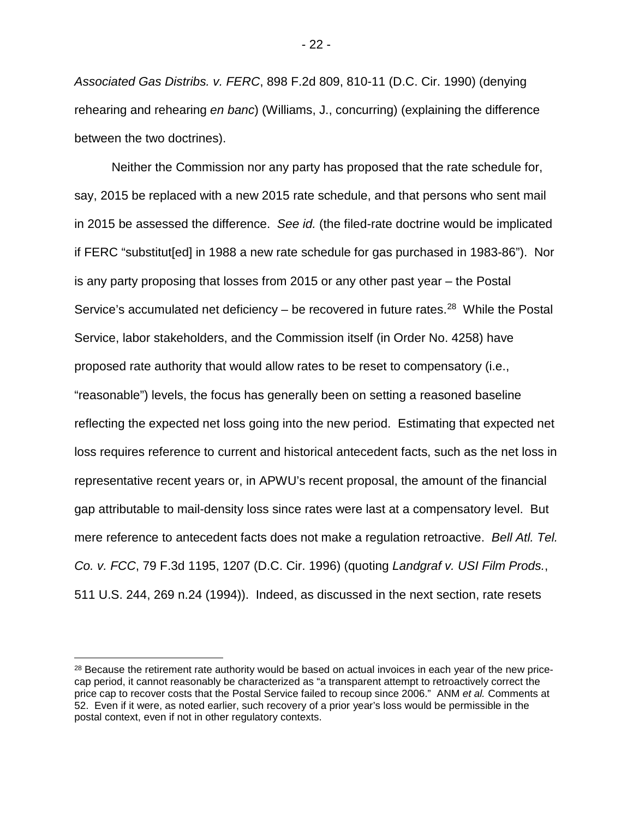*Associated Gas Distribs. v. FERC*, 898 F.2d 809, 810-11 (D.C. Cir. 1990) (denying rehearing and rehearing *en banc*) (Williams, J., concurring) (explaining the difference between the two doctrines).

Neither the Commission nor any party has proposed that the rate schedule for, say, 2015 be replaced with a new 2015 rate schedule, and that persons who sent mail in 2015 be assessed the difference. *See id.* (the filed-rate doctrine would be implicated if FERC "substitut[ed] in 1988 a new rate schedule for gas purchased in 1983-86"). Nor is any party proposing that losses from 2015 or any other past year – the Postal Service's accumulated net deficiency – be recovered in future rates.<sup>28</sup> While the Postal Service, labor stakeholders, and the Commission itself (in Order No. 4258) have proposed rate authority that would allow rates to be reset to compensatory (i.e., "reasonable") levels, the focus has generally been on setting a reasoned baseline reflecting the expected net loss going into the new period. Estimating that expected net loss requires reference to current and historical antecedent facts, such as the net loss in representative recent years or, in APWU's recent proposal, the amount of the financial gap attributable to mail-density loss since rates were last at a compensatory level. But mere reference to antecedent facts does not make a regulation retroactive. *Bell Atl. Tel. Co. v. FCC*, 79 F.3d 1195, 1207 (D.C. Cir. 1996) (quoting *Landgraf v. USI Film Prods.*, 511 U.S. 244, 269 n.24 (1994)). Indeed, as discussed in the next section, rate resets

<span id="page-23-0"></span><sup>&</sup>lt;sup>28</sup> Because the retirement rate authority would be based on actual invoices in each year of the new pricecap period, it cannot reasonably be characterized as "a transparent attempt to retroactively correct the price cap to recover costs that the Postal Service failed to recoup since 2006." ANM *et al.* Comments at 52. Even if it were, as noted earlier, such recovery of a prior year's loss would be permissible in the postal context, even if not in other regulatory contexts.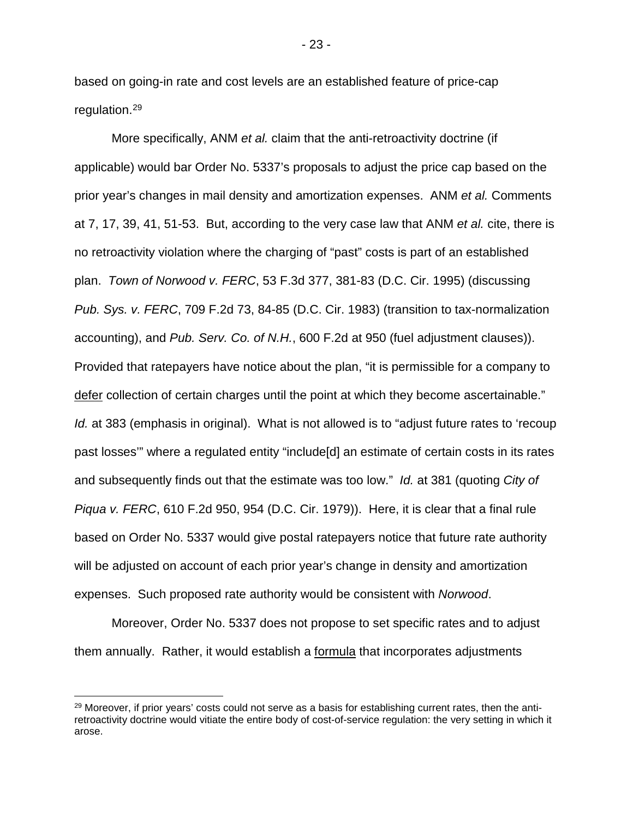based on going-in rate and cost levels are an established feature of price-cap regulation.[29](#page-24-0)

More specifically, ANM *et al.* claim that the anti-retroactivity doctrine (if applicable) would bar Order No. 5337's proposals to adjust the price cap based on the prior year's changes in mail density and amortization expenses. ANM *et al.* Comments at 7, 17, 39, 41, 51-53. But, according to the very case law that ANM *et al.* cite, there is no retroactivity violation where the charging of "past" costs is part of an established plan. *Town of Norwood v. FERC*, 53 F.3d 377, 381-83 (D.C. Cir. 1995) (discussing *Pub. Sys. v. FERC*, 709 F.2d 73, 84-85 (D.C. Cir. 1983) (transition to tax-normalization accounting), and *Pub. Serv. Co. of N.H.*, 600 F.2d at 950 (fuel adjustment clauses)). Provided that ratepayers have notice about the plan, "it is permissible for a company to defer collection of certain charges until the point at which they become ascertainable." *Id.* at 383 (emphasis in original). What is not allowed is to "adjust future rates to 'recoup past losses'" where a regulated entity "include[d] an estimate of certain costs in its rates and subsequently finds out that the estimate was too low." *Id.* at 381 (quoting *City of Piqua v. FERC*, 610 F.2d 950, 954 (D.C. Cir. 1979)). Here, it is clear that a final rule based on Order No. 5337 would give postal ratepayers notice that future rate authority will be adjusted on account of each prior year's change in density and amortization expenses. Such proposed rate authority would be consistent with *Norwood*.

Moreover, Order No. 5337 does not propose to set specific rates and to adjust them annually. Rather, it would establish a formula that incorporates adjustments

- 23 -

<span id="page-24-0"></span><sup>&</sup>lt;sup>29</sup> Moreover, if prior years' costs could not serve as a basis for establishing current rates, then the antiretroactivity doctrine would vitiate the entire body of cost-of-service regulation: the very setting in which it arose.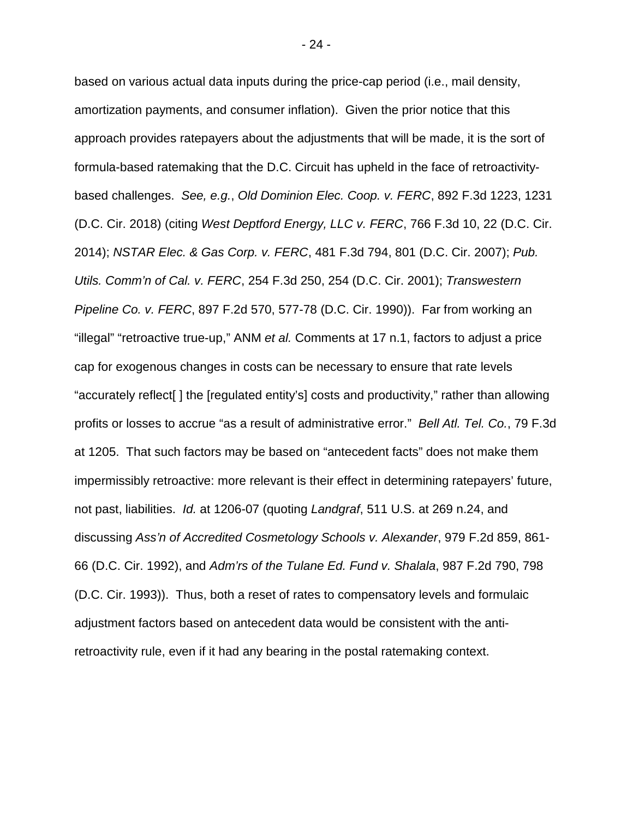based on various actual data inputs during the price-cap period (i.e., mail density, amortization payments, and consumer inflation). Given the prior notice that this approach provides ratepayers about the adjustments that will be made, it is the sort of formula-based ratemaking that the D.C. Circuit has upheld in the face of retroactivitybased challenges. *See, e.g.*, *Old Dominion Elec. Coop. v. FERC*, 892 F.3d 1223, 1231 (D.C. Cir. 2018) (citing *West Deptford Energy, LLC v. FERC*, 766 F.3d 10, 22 (D.C. Cir. 2014); *NSTAR Elec. & Gas Corp. v. FERC*, 481 F.3d 794, 801 (D.C. Cir. 2007); *Pub. Utils. Comm'n of Cal. v. FERC*, 254 F.3d 250, 254 (D.C. Cir. 2001); *Transwestern Pipeline Co. v. FERC*, 897 F.2d 570, 577-78 (D.C. Cir. 1990)). Far from working an "illegal" "retroactive true-up," ANM *et al.* Comments at 17 n.1, factors to adjust a price cap for exogenous changes in costs can be necessary to ensure that rate levels "accurately reflect[ ] the [regulated entity's] costs and productivity," rather than allowing profits or losses to accrue "as a result of administrative error." *Bell Atl. Tel. Co.*, 79 F.3d at 1205. That such factors may be based on "antecedent facts" does not make them impermissibly retroactive: more relevant is their effect in determining ratepayers' future, not past, liabilities. *Id.* at 1206-07 (quoting *Landgraf*, 511 U.S. at 269 n.24, and discussing *Ass'n of Accredited Cosmetology Schools v. Alexander*, 979 F.2d 859, 861- 66 (D.C. Cir. 1992), and *Adm'rs of the Tulane Ed. Fund v. Shalala*, 987 F.2d 790, 798 (D.C. Cir. 1993)). Thus, both a reset of rates to compensatory levels and formulaic adjustment factors based on antecedent data would be consistent with the antiretroactivity rule, even if it had any bearing in the postal ratemaking context.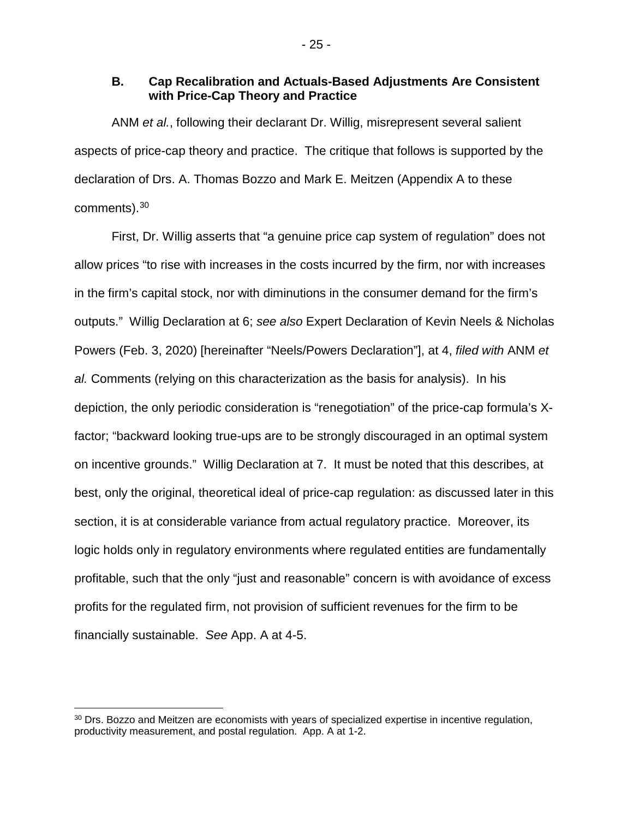#### <span id="page-26-0"></span>**B. Cap Recalibration and Actuals-Based Adjustments Are Consistent with Price-Cap Theory and Practice**

ANM *et al.*, following their declarant Dr. Willig, misrepresent several salient aspects of price-cap theory and practice. The critique that follows is supported by the declaration of Drs. A. Thomas Bozzo and Mark E. Meitzen (Appendix A to these comments).[30](#page-26-1)

First, Dr. Willig asserts that "a genuine price cap system of regulation" does not allow prices "to rise with increases in the costs incurred by the firm, nor with increases in the firm's capital stock, nor with diminutions in the consumer demand for the firm's outputs." Willig Declaration at 6; *see also* Expert Declaration of Kevin Neels & Nicholas Powers (Feb. 3, 2020) [hereinafter "Neels/Powers Declaration"], at 4, *filed with* ANM *et al.* Comments (relying on this characterization as the basis for analysis). In his depiction, the only periodic consideration is "renegotiation" of the price-cap formula's Xfactor; "backward looking true-ups are to be strongly discouraged in an optimal system on incentive grounds." Willig Declaration at 7. It must be noted that this describes, at best, only the original, theoretical ideal of price-cap regulation: as discussed later in this section, it is at considerable variance from actual regulatory practice. Moreover, its logic holds only in regulatory environments where regulated entities are fundamentally profitable, such that the only "just and reasonable" concern is with avoidance of excess profits for the regulated firm, not provision of sufficient revenues for the firm to be financially sustainable. *See* App. A at 4-5.

<span id="page-26-1"></span><sup>&</sup>lt;sup>30</sup> Drs. Bozzo and Meitzen are economists with years of specialized expertise in incentive regulation, productivity measurement, and postal regulation. App. A at 1-2.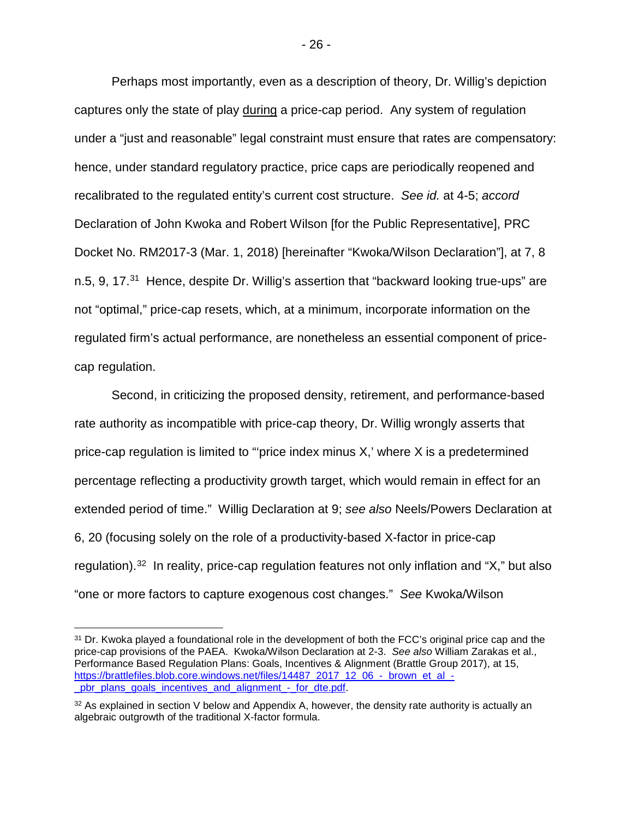Perhaps most importantly, even as a description of theory, Dr. Willig's depiction captures only the state of play during a price-cap period. Any system of regulation under a "just and reasonable" legal constraint must ensure that rates are compensatory: hence, under standard regulatory practice, price caps are periodically reopened and recalibrated to the regulated entity's current cost structure. *See id.* at 4-5; *accord*  Declaration of John Kwoka and Robert Wilson [for the Public Representative], PRC Docket No. RM2017-3 (Mar. 1, 2018) [hereinafter "Kwoka/Wilson Declaration"], at 7, 8 n.5, 9, 17.<sup>31</sup> Hence, despite Dr. Willig's assertion that "backward looking true-ups" are not "optimal," price-cap resets, which, at a minimum, incorporate information on the regulated firm's actual performance, are nonetheless an essential component of pricecap regulation.

Second, in criticizing the proposed density, retirement, and performance-based rate authority as incompatible with price-cap theory, Dr. Willig wrongly asserts that price-cap regulation is limited to "'price index minus X,' where X is a predetermined percentage reflecting a productivity growth target, which would remain in effect for an extended period of time." Willig Declaration at 9; *see also* Neels/Powers Declaration at 6, 20 (focusing solely on the role of a productivity-based X-factor in price-cap regulation).<sup>[32](#page-27-1)</sup> In reality, price-cap regulation features not only inflation and "X," but also "one or more factors to capture exogenous cost changes." *See* Kwoka/Wilson

<span id="page-27-0"></span><sup>&</sup>lt;sup>31</sup> Dr. Kwoka played a foundational role in the development of both the FCC's original price cap and the price-cap provisions of the PAEA. Kwoka/Wilson Declaration at 2-3. *See also* William Zarakas et al., Performance Based Regulation Plans: Goals, Incentives & Alignment (Brattle Group 2017), at 15, [https://brattlefiles.blob.core.windows.net/files/14487\\_2017\\_12\\_06\\_-\\_brown\\_et\\_al\\_](https://brattlefiles.blob.core.windows.net/files/14487_2017_12_06_-_brown_et_al_-_pbr_plans_goals_incentives_and_alignment_-_for_dte.pdf) pbr\_plans\_goals\_incentives\_and\_alignment - for\_dte.pdf.

<span id="page-27-1"></span> $32$  As explained in section V below and Appendix A, however, the density rate authority is actually an algebraic outgrowth of the traditional X-factor formula.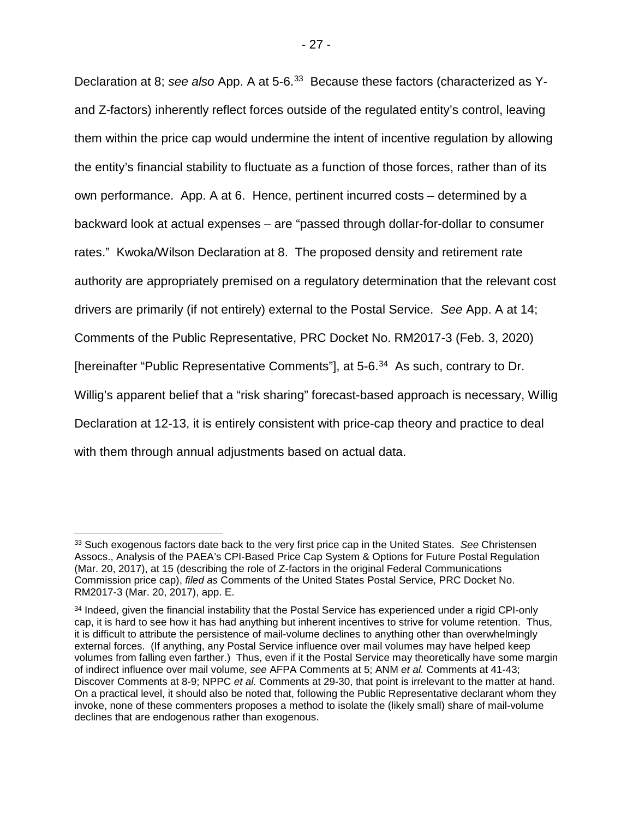Declaration at 8; *see also* App. A at 5-6. [33](#page-28-1) Because these factors (characterized as Yand Z-factors) inherently reflect forces outside of the regulated entity's control, leaving them within the price cap would undermine the intent of incentive regulation by allowing the entity's financial stability to fluctuate as a function of those forces, rather than of its own performance. App. A at 6. Hence, pertinent incurred costs – determined by a backward look at actual expenses – are "passed through dollar-for-dollar to consumer rates." Kwoka/Wilson Declaration at 8. The proposed density and retirement rate authority are appropriately premised on a regulatory determination that the relevant cost drivers are primarily (if not entirely) external to the Postal Service. *See* App. A at 14; Comments of the Public Representative, PRC Docket No. RM2017-3 (Feb. 3, 2020) [hereinafter "Public Representative Comments"], at 5-6.[34](#page-28-2) As such, contrary to Dr. Willig's apparent belief that a "risk sharing" forecast-based approach is necessary, Willig Declaration at 12-13, it is entirely consistent with price-cap theory and practice to deal with them through annual adjustments based on actual data.

<span id="page-28-1"></span><span id="page-28-0"></span> <sup>33</sup> Such exogenous factors date back to the very first price cap in the United States. *See* Christensen Assocs., Analysis of the PAEA's CPI-Based Price Cap System & Options for Future Postal Regulation (Mar. 20, 2017), at 15 (describing the role of Z-factors in the original Federal Communications Commission price cap), *filed as* Comments of the United States Postal Service, PRC Docket No. RM2017-3 (Mar. 20, 2017), app. E.

<span id="page-28-2"></span><sup>34</sup> Indeed, given the financial instability that the Postal Service has experienced under a rigid CPI-only cap, it is hard to see how it has had anything but inherent incentives to strive for volume retention. Thus, it is difficult to attribute the persistence of mail-volume declines to anything other than overwhelmingly external forces. (If anything, any Postal Service influence over mail volumes may have helped keep volumes from falling even farther.) Thus, even if it the Postal Service may theoretically have some margin of indirect influence over mail volume, *see* AFPA Comments at 5; ANM *et al.* Comments at 41-43; Discover Comments at 8-9; NPPC *et al.* Comments at 29-30, that point is irrelevant to the matter at hand. On a practical level, it should also be noted that, following the Public Representative declarant whom they invoke, none of these commenters proposes a method to isolate the (likely small) share of mail-volume declines that are endogenous rather than exogenous.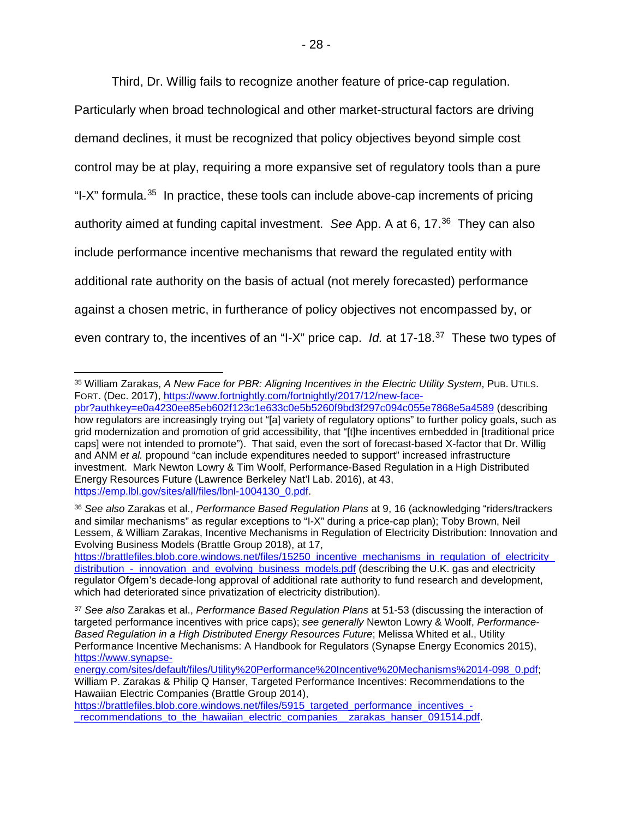Third, Dr. Willig fails to recognize another feature of price-cap regulation.

Particularly when broad technological and other market-structural factors are driving demand declines, it must be recognized that policy objectives beyond simple cost control may be at play, requiring a more expansive set of regulatory tools than a pure "I-X" formula.<sup>[35](#page-29-0)</sup> In practice, these tools can include above-cap increments of pricing authority aimed at funding capital investment. *See* App. A at 6, 17. [36](#page-29-1) They can also include performance incentive mechanisms that reward the regulated entity with additional rate authority on the basis of actual (not merely forecasted) performance against a chosen metric, in furtherance of policy objectives not encompassed by, or even contrary to, the incentives of an "I-X" price cap. *Id.* at 17-18. [37](#page-29-2) These two types of

<span id="page-29-0"></span> <sup>35</sup> William Zarakas, *A New Face for PBR: Aligning Incentives in the Electric Utility System*, PUB. UTILS. FORT. (Dec. 2017), [https://www.fortnightly.com/fortnightly/2017/12/new-face-](https://www.fortnightly.com/fortnightly/2017/12/new-face-pbr?authkey=e0a4230ee85eb602f123c1e633c0e5b5260f9bd3f297c094c055e7868e5a4589)

[pbr?authkey=e0a4230ee85eb602f123c1e633c0e5b5260f9bd3f297c094c055e7868e5a4589](https://www.fortnightly.com/fortnightly/2017/12/new-face-pbr?authkey=e0a4230ee85eb602f123c1e633c0e5b5260f9bd3f297c094c055e7868e5a4589) (describing how regulators are increasingly trying out "[a] variety of regulatory options" to further policy goals, such as grid modernization and promotion of grid accessibility, that "[t]he incentives embedded in [traditional price caps] were not intended to promote"). That said, even the sort of forecast-based X-factor that Dr. Willig and ANM *et al.* propound "can include expenditures needed to support" increased infrastructure investment. Mark Newton Lowry & Tim Woolf, Performance-Based Regulation in a High Distributed Energy Resources Future (Lawrence Berkeley Nat'l Lab. 2016), at 43, [https://emp.lbl.gov/sites/all/files/lbnl-1004130\\_0.pdf.](https://emp.lbl.gov/sites/all/files/lbnl-1004130_0.pdf)

<span id="page-29-1"></span><sup>36</sup> *See also* Zarakas et al., *Performance Based Regulation Plans* at 9, 16 (acknowledging "riders/trackers and similar mechanisms" as regular exceptions to "I-X" during a price-cap plan); Toby Brown, Neil Lessem, & William Zarakas, Incentive Mechanisms in Regulation of Electricity Distribution: Innovation and Evolving Business Models (Brattle Group 2018), at 17,

[https://brattlefiles.blob.core.windows.net/files/15250\\_incentive\\_mechanisms\\_in\\_regulation\\_of\\_electricity\\_](https://brattlefiles.blob.core.windows.net/files/15250_incentive_mechanisms_in_regulation_of_electricity_distribution_-_innovation_and_evolving_business_models.pdf) [distribution\\_-\\_innovation\\_and\\_evolving\\_business\\_models.pdf](https://brattlefiles.blob.core.windows.net/files/15250_incentive_mechanisms_in_regulation_of_electricity_distribution_-_innovation_and_evolving_business_models.pdf) (describing the U.K. gas and electricity regulator Ofgem's decade-long approval of additional rate authority to fund research and development, which had deteriorated since privatization of electricity distribution).

<span id="page-29-2"></span><sup>37</sup> *See also* Zarakas et al., *Performance Based Regulation Plans* at 51-53 (discussing the interaction of targeted performance incentives with price caps); *see generally* Newton Lowry & Woolf, *Performance-Based Regulation in a High Distributed Energy Resources Future*; Melissa Whited et al., Utility Performance Incentive Mechanisms: A Handbook for Regulators (Synapse Energy Economics 2015), [https://www.synapse-](https://www.synapse-energy.com/sites/default/files/Utility%20Performance%20Incentive%20Mechanisms%2014-098_0.pdf)

[energy.com/sites/default/files/Utility%20Performance%20Incentive%20Mechanisms%2014-098\\_0.pdf;](https://www.synapse-energy.com/sites/default/files/Utility%20Performance%20Incentive%20Mechanisms%2014-098_0.pdf) William P. Zarakas & Philip Q Hanser, Targeted Performance Incentives: Recommendations to the Hawaiian Electric Companies (Brattle Group 2014),

[https://brattlefiles.blob.core.windows.net/files/5915\\_targeted\\_performance\\_incentives\\_](https://brattlefiles.blob.core.windows.net/files/5915_targeted_performance_incentives_-_recommendations_to_the_hawaiian_electric_companies__zarakas_hanser_091514.pdf) recommendations to the hawaiian electric companies zarakas hanser 091514.pdf.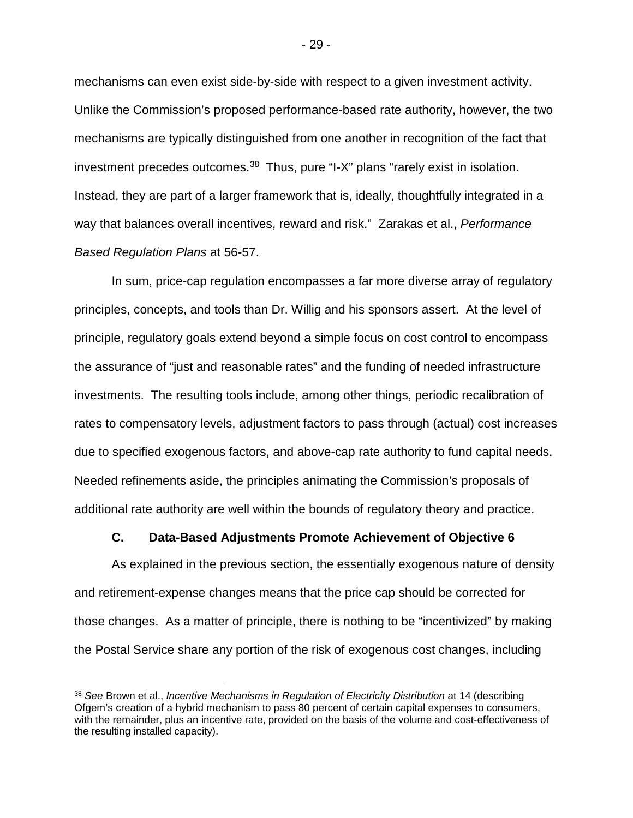mechanisms can even exist side-by-side with respect to a given investment activity. Unlike the Commission's proposed performance-based rate authority, however, the two mechanisms are typically distinguished from one another in recognition of the fact that investment precedes outcomes.<sup>38</sup> Thus, pure "I-X" plans "rarely exist in isolation. Instead, they are part of a larger framework that is, ideally, thoughtfully integrated in a way that balances overall incentives, reward and risk." Zarakas et al., *Performance Based Regulation Plans* at 56-57.

In sum, price-cap regulation encompasses a far more diverse array of regulatory principles, concepts, and tools than Dr. Willig and his sponsors assert. At the level of principle, regulatory goals extend beyond a simple focus on cost control to encompass the assurance of "just and reasonable rates" and the funding of needed infrastructure investments. The resulting tools include, among other things, periodic recalibration of rates to compensatory levels, adjustment factors to pass through (actual) cost increases due to specified exogenous factors, and above-cap rate authority to fund capital needs. Needed refinements aside, the principles animating the Commission's proposals of additional rate authority are well within the bounds of regulatory theory and practice.

#### **C. Data-Based Adjustments Promote Achievement of Objective 6**

<span id="page-30-0"></span>As explained in the previous section, the essentially exogenous nature of density and retirement-expense changes means that the price cap should be corrected for those changes. As a matter of principle, there is nothing to be "incentivized" by making the Postal Service share any portion of the risk of exogenous cost changes, including

<span id="page-30-1"></span> <sup>38</sup> *See* Brown et al., *Incentive Mechanisms in Regulation of Electricity Distribution* at 14 (describing Ofgem's creation of a hybrid mechanism to pass 80 percent of certain capital expenses to consumers, with the remainder, plus an incentive rate, provided on the basis of the volume and cost-effectiveness of the resulting installed capacity).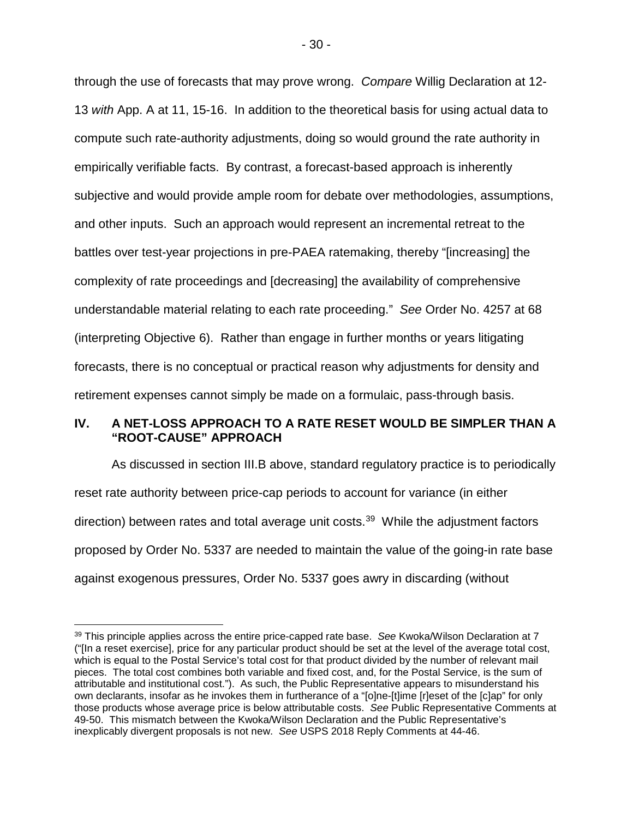through the use of forecasts that may prove wrong. *Compare* Willig Declaration at 12- 13 *with* App. A at 11, 15-16. In addition to the theoretical basis for using actual data to compute such rate-authority adjustments, doing so would ground the rate authority in empirically verifiable facts. By contrast, a forecast-based approach is inherently subjective and would provide ample room for debate over methodologies, assumptions, and other inputs. Such an approach would represent an incremental retreat to the battles over test-year projections in pre-PAEA ratemaking, thereby "[increasing] the complexity of rate proceedings and [decreasing] the availability of comprehensive understandable material relating to each rate proceeding." *See* Order No. 4257 at 68 (interpreting Objective 6). Rather than engage in further months or years litigating forecasts, there is no conceptual or practical reason why adjustments for density and retirement expenses cannot simply be made on a formulaic, pass-through basis.

## <span id="page-31-0"></span>**IV. A NET-LOSS APPROACH TO A RATE RESET WOULD BE SIMPLER THAN A "ROOT-CAUSE" APPROACH**

As discussed in section III.B above, standard regulatory practice is to periodically reset rate authority between price-cap periods to account for variance (in either direction) between rates and total average unit costs.[39](#page-31-1) While the adjustment factors proposed by Order No. 5337 are needed to maintain the value of the going-in rate base against exogenous pressures, Order No. 5337 goes awry in discarding (without

<span id="page-31-1"></span> <sup>39</sup> This principle applies across the entire price-capped rate base. *See* Kwoka/Wilson Declaration at 7 ("[In a reset exercise], price for any particular product should be set at the level of the average total cost, which is equal to the Postal Service's total cost for that product divided by the number of relevant mail pieces. The total cost combines both variable and fixed cost, and, for the Postal Service, is the sum of attributable and institutional cost."). As such, the Public Representative appears to misunderstand his own declarants, insofar as he invokes them in furtherance of a "[o]ne-[t]ime [r]eset of the [c]ap" for only those products whose average price is below attributable costs. *See* Public Representative Comments at 49-50. This mismatch between the Kwoka/Wilson Declaration and the Public Representative's inexplicably divergent proposals is not new. *See* USPS 2018 Reply Comments at 44-46.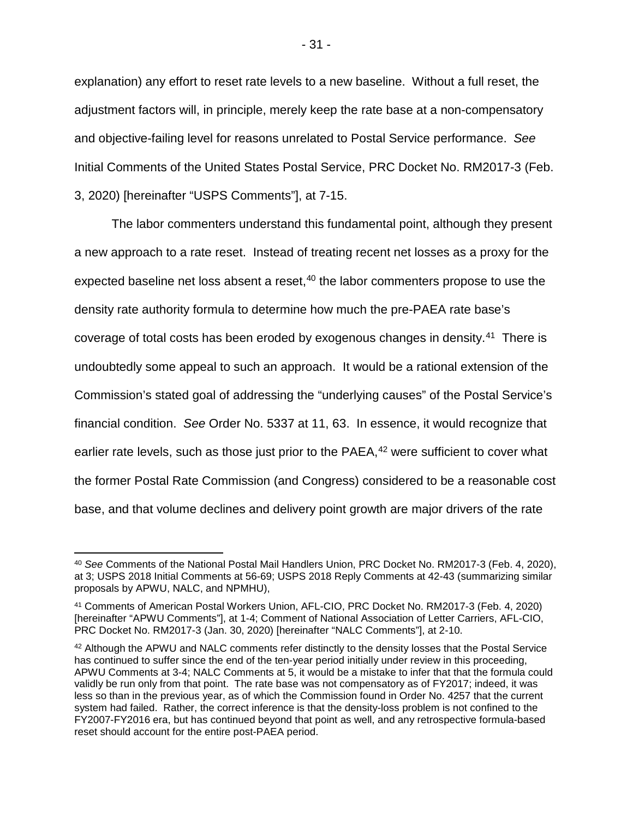explanation) any effort to reset rate levels to a new baseline. Without a full reset, the adjustment factors will, in principle, merely keep the rate base at a non-compensatory and objective-failing level for reasons unrelated to Postal Service performance. *See* Initial Comments of the United States Postal Service, PRC Docket No. RM2017-3 (Feb. 3, 2020) [hereinafter "USPS Comments"], at 7-15.

The labor commenters understand this fundamental point, although they present a new approach to a rate reset. Instead of treating recent net losses as a proxy for the expected baseline net loss absent a reset, $40$  the labor commenters propose to use the density rate authority formula to determine how much the pre-PAEA rate base's coverage of total costs has been eroded by exogenous changes in density.<sup>[41](#page-32-1)</sup> There is undoubtedly some appeal to such an approach. It would be a rational extension of the Commission's stated goal of addressing the "underlying causes" of the Postal Service's financial condition. *See* Order No. 5337 at 11, 63. In essence, it would recognize that earlier rate levels, such as those just prior to the PAEA,<sup>[42](#page-32-2)</sup> were sufficient to cover what the former Postal Rate Commission (and Congress) considered to be a reasonable cost base, and that volume declines and delivery point growth are major drivers of the rate

<span id="page-32-0"></span> <sup>40</sup> *See* Comments of the National Postal Mail Handlers Union, PRC Docket No. RM2017-3 (Feb. 4, 2020), at 3; USPS 2018 Initial Comments at 56-69; USPS 2018 Reply Comments at 42-43 (summarizing similar proposals by APWU, NALC, and NPMHU),

<span id="page-32-1"></span><sup>41</sup> Comments of American Postal Workers Union, AFL-CIO, PRC Docket No. RM2017-3 (Feb. 4, 2020) [hereinafter "APWU Comments"], at 1-4; Comment of National Association of Letter Carriers, AFL-CIO, PRC Docket No. RM2017-3 (Jan. 30, 2020) [hereinafter "NALC Comments"], at 2-10.

<span id="page-32-2"></span><sup>42</sup> Although the APWU and NALC comments refer distinctly to the density losses that the Postal Service has continued to suffer since the end of the ten-year period initially under review in this proceeding, APWU Comments at 3-4; NALC Comments at 5, it would be a mistake to infer that that the formula could validly be run only from that point. The rate base was not compensatory as of FY2017; indeed, it was less so than in the previous year, as of which the Commission found in Order No. 4257 that the current system had failed. Rather, the correct inference is that the density-loss problem is not confined to the FY2007-FY2016 era, but has continued beyond that point as well, and any retrospective formula-based reset should account for the entire post-PAEA period.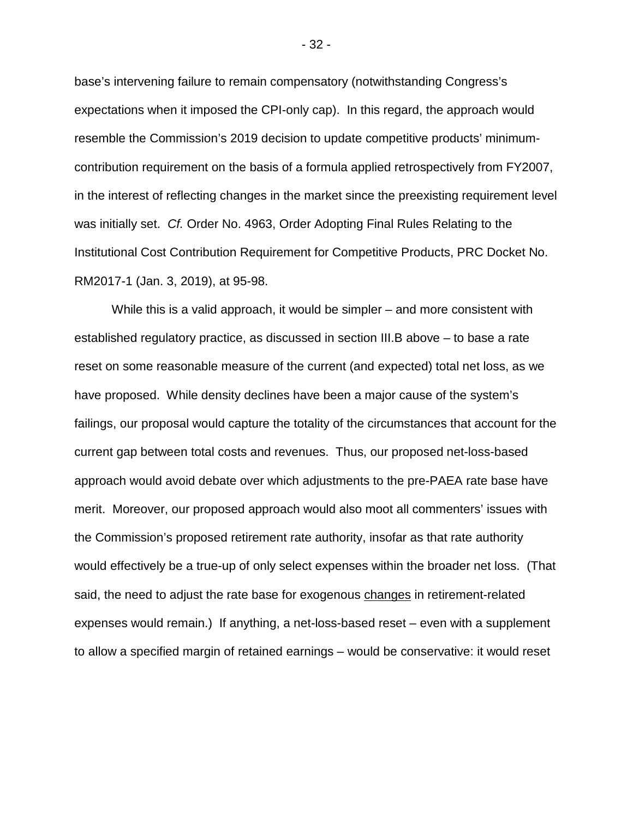base's intervening failure to remain compensatory (notwithstanding Congress's expectations when it imposed the CPI-only cap). In this regard, the approach would resemble the Commission's 2019 decision to update competitive products' minimumcontribution requirement on the basis of a formula applied retrospectively from FY2007, in the interest of reflecting changes in the market since the preexisting requirement level was initially set. *Cf.* Order No. 4963, Order Adopting Final Rules Relating to the Institutional Cost Contribution Requirement for Competitive Products, PRC Docket No. RM2017-1 (Jan. 3, 2019), at 95-98.

While this is a valid approach, it would be simpler – and more consistent with established regulatory practice, as discussed in section III.B above – to base a rate reset on some reasonable measure of the current (and expected) total net loss, as we have proposed. While density declines have been a major cause of the system's failings, our proposal would capture the totality of the circumstances that account for the current gap between total costs and revenues. Thus, our proposed net-loss-based approach would avoid debate over which adjustments to the pre-PAEA rate base have merit. Moreover, our proposed approach would also moot all commenters' issues with the Commission's proposed retirement rate authority, insofar as that rate authority would effectively be a true-up of only select expenses within the broader net loss. (That said, the need to adjust the rate base for exogenous changes in retirement-related expenses would remain.) If anything, a net-loss-based reset – even with a supplement to allow a specified margin of retained earnings – would be conservative: it would reset

- 32 -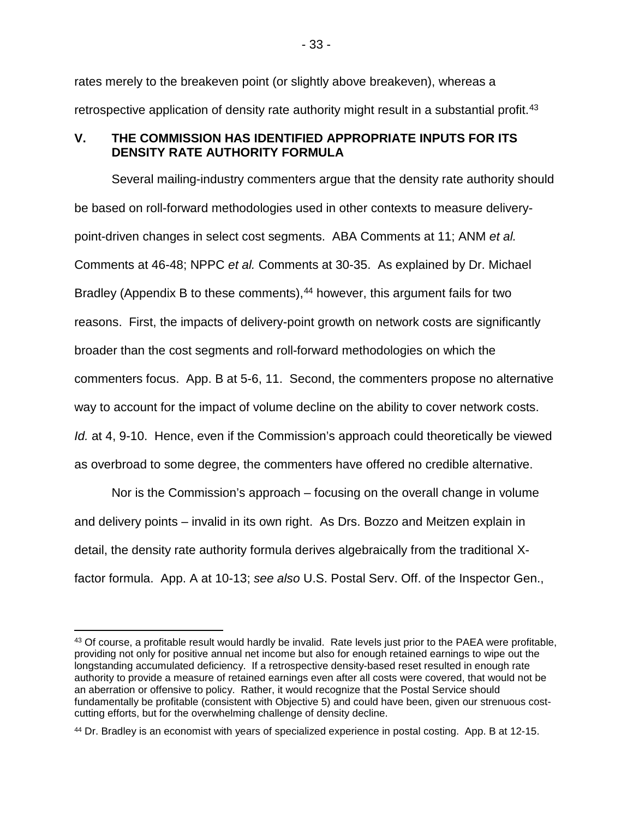rates merely to the breakeven point (or slightly above breakeven), whereas a retrospective application of density rate authority might result in a substantial profit.<sup>[43](#page-34-1)</sup>

# <span id="page-34-0"></span>**V. THE COMMISSION HAS IDENTIFIED APPROPRIATE INPUTS FOR ITS DENSITY RATE AUTHORITY FORMULA**

Several mailing-industry commenters argue that the density rate authority should be based on roll-forward methodologies used in other contexts to measure deliverypoint-driven changes in select cost segments. ABA Comments at 11; ANM *et al.* Comments at 46-48; NPPC *et al.* Comments at 30-35. As explained by Dr. Michael Bradley (Appendix B to these comments),<sup>[44](#page-34-2)</sup> however, this argument fails for two reasons. First, the impacts of delivery-point growth on network costs are significantly broader than the cost segments and roll-forward methodologies on which the commenters focus. App. B at 5-6, 11. Second, the commenters propose no alternative way to account for the impact of volume decline on the ability to cover network costs. *Id.* at 4, 9-10. Hence, even if the Commission's approach could theoretically be viewed as overbroad to some degree, the commenters have offered no credible alternative.

Nor is the Commission's approach – focusing on the overall change in volume and delivery points – invalid in its own right. As Drs. Bozzo and Meitzen explain in detail, the density rate authority formula derives algebraically from the traditional Xfactor formula. App. A at 10-13; *see also* U.S. Postal Serv. Off. of the Inspector Gen.,

<span id="page-34-1"></span><sup>43</sup> Of course, a profitable result would hardly be invalid. Rate levels just prior to the PAEA were profitable, providing not only for positive annual net income but also for enough retained earnings to wipe out the longstanding accumulated deficiency. If a retrospective density-based reset resulted in enough rate authority to provide a measure of retained earnings even after all costs were covered, that would not be an aberration or offensive to policy. Rather, it would recognize that the Postal Service should fundamentally be profitable (consistent with Objective 5) and could have been, given our strenuous costcutting efforts, but for the overwhelming challenge of density decline.

<span id="page-34-2"></span><sup>44</sup> Dr. Bradley is an economist with years of specialized experience in postal costing. App. B at 12-15.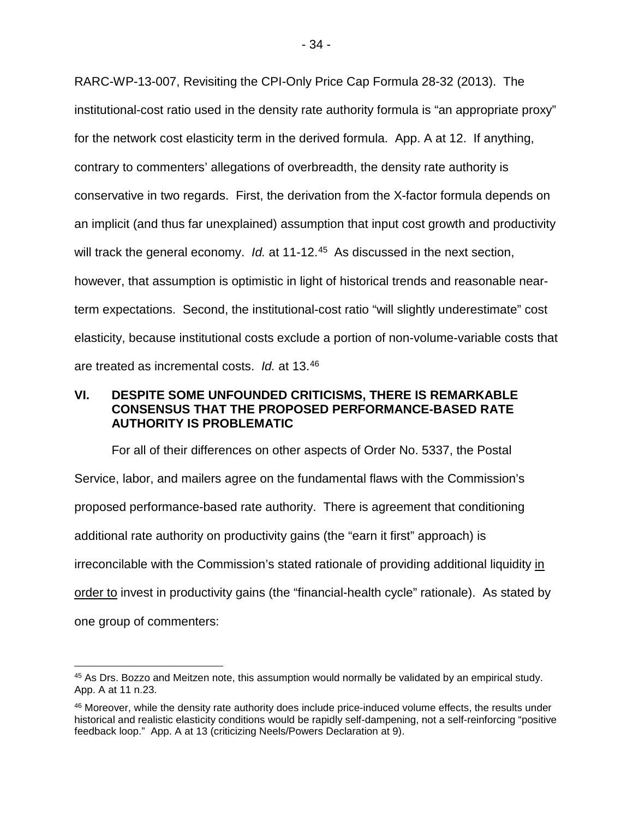RARC-WP-13-007, Revisiting the CPI-Only Price Cap Formula 28-32 (2013). The institutional-cost ratio used in the density rate authority formula is "an appropriate proxy" for the network cost elasticity term in the derived formula. App. A at 12. If anything, contrary to commenters' allegations of overbreadth, the density rate authority is conservative in two regards. First, the derivation from the X-factor formula depends on an implicit (and thus far unexplained) assumption that input cost growth and productivity will track the general economy. *Id.* at 11-12. [45](#page-35-1) As discussed in the next section, however, that assumption is optimistic in light of historical trends and reasonable nearterm expectations. Second, the institutional-cost ratio "will slightly underestimate" cost elasticity, because institutional costs exclude a portion of non-volume-variable costs that are treated as incremental costs. *Id.* at 13. [46](#page-35-2)

## <span id="page-35-0"></span>**VI. DESPITE SOME UNFOUNDED CRITICISMS, THERE IS REMARKABLE CONSENSUS THAT THE PROPOSED PERFORMANCE-BASED RATE AUTHORITY IS PROBLEMATIC**

For all of their differences on other aspects of Order No. 5337, the Postal Service, labor, and mailers agree on the fundamental flaws with the Commission's proposed performance-based rate authority. There is agreement that conditioning additional rate authority on productivity gains (the "earn it first" approach) is irreconcilable with the Commission's stated rationale of providing additional liquidity in order to invest in productivity gains (the "financial-health cycle" rationale). As stated by one group of commenters:

<span id="page-35-1"></span> <sup>45</sup> As Drs. Bozzo and Meitzen note, this assumption would normally be validated by an empirical study. App. A at 11 n.23.

<span id="page-35-2"></span><sup>46</sup> Moreover, while the density rate authority does include price-induced volume effects, the results under historical and realistic elasticity conditions would be rapidly self-dampening, not a self-reinforcing "positive feedback loop." App. A at 13 (criticizing Neels/Powers Declaration at 9).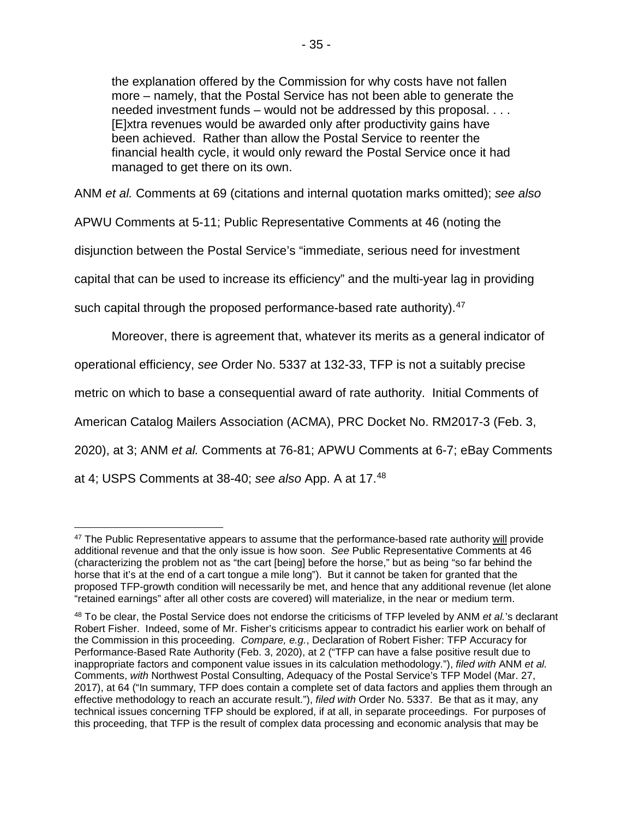the explanation offered by the Commission for why costs have not fallen more – namely, that the Postal Service has not been able to generate the needed investment funds – would not be addressed by this proposal. . . . [E]xtra revenues would be awarded only after productivity gains have been achieved. Rather than allow the Postal Service to reenter the financial health cycle, it would only reward the Postal Service once it had managed to get there on its own.

ANM *et al.* Comments at 69 (citations and internal quotation marks omitted); *see also* 

APWU Comments at 5-11; Public Representative Comments at 46 (noting the

disjunction between the Postal Service's "immediate, serious need for investment

capital that can be used to increase its efficiency" and the multi-year lag in providing

such capital through the proposed performance-based rate authority).<sup>[47](#page-36-0)</sup>

Moreover, there is agreement that, whatever its merits as a general indicator of

operational efficiency, *see* Order No. 5337 at 132-33, TFP is not a suitably precise

metric on which to base a consequential award of rate authority. Initial Comments of

American Catalog Mailers Association (ACMA), PRC Docket No. RM2017-3 (Feb. 3,

2020), at 3; ANM *et al.* Comments at 76-81; APWU Comments at 6-7; eBay Comments

at 4; USPS Comments at 38-40; *see also* App. A at 17.[48](#page-36-1)

<span id="page-36-0"></span><sup>&</sup>lt;sup>47</sup> The Public Representative appears to assume that the performance-based rate authority will provide additional revenue and that the only issue is how soon. *See* Public Representative Comments at 46 (characterizing the problem not as "the cart [being] before the horse," but as being "so far behind the horse that it's at the end of a cart tongue a mile long"). But it cannot be taken for granted that the proposed TFP-growth condition will necessarily be met, and hence that any additional revenue (let alone "retained earnings" after all other costs are covered) will materialize, in the near or medium term.

<span id="page-36-1"></span><sup>48</sup> To be clear, the Postal Service does not endorse the criticisms of TFP leveled by ANM *et al.*'s declarant Robert Fisher. Indeed, some of Mr. Fisher's criticisms appear to contradict his earlier work on behalf of the Commission in this proceeding. *Compare, e.g.*, Declaration of Robert Fisher: TFP Accuracy for Performance-Based Rate Authority (Feb. 3, 2020), at 2 ("TFP can have a false positive result due to inappropriate factors and component value issues in its calculation methodology."), *filed with* ANM *et al.* Comments, *with* Northwest Postal Consulting, Adequacy of the Postal Service's TFP Model (Mar. 27, 2017), at 64 ("In summary, TFP does contain a complete set of data factors and applies them through an effective methodology to reach an accurate result."), *filed with* Order No. 5337. Be that as it may, any technical issues concerning TFP should be explored, if at all, in separate proceedings. For purposes of this proceeding, that TFP is the result of complex data processing and economic analysis that may be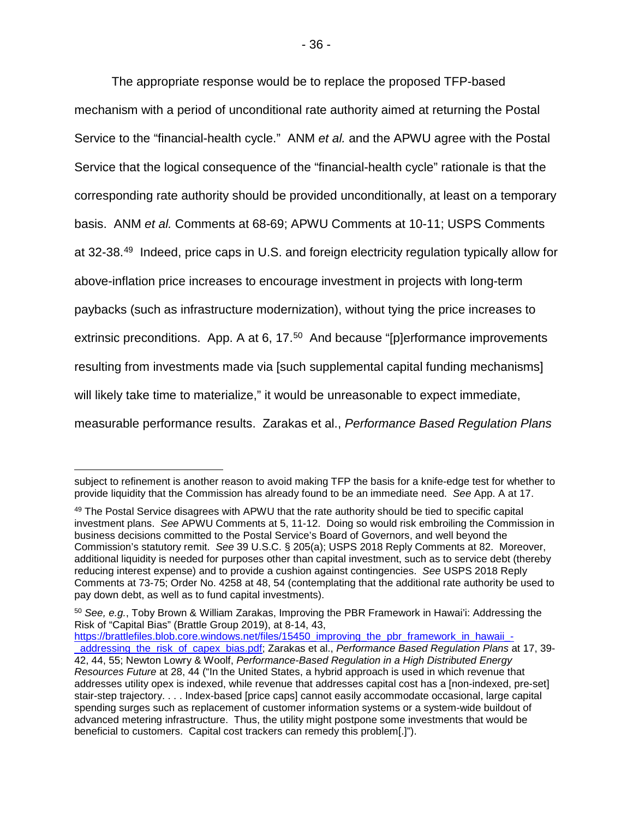The appropriate response would be to replace the proposed TFP-based mechanism with a period of unconditional rate authority aimed at returning the Postal Service to the "financial-health cycle." ANM *et al.* and the APWU agree with the Postal Service that the logical consequence of the "financial-health cycle" rationale is that the corresponding rate authority should be provided unconditionally, at least on a temporary basis. ANM *et al.* Comments at 68-69; APWU Comments at 10-11; USPS Comments at 32-38.[49](#page-37-0) Indeed, price caps in U.S. and foreign electricity regulation typically allow for above-inflation price increases to encourage investment in projects with long-term paybacks (such as infrastructure modernization), without tying the price increases to extrinsic preconditions. App. A at 6, 17.<sup>50</sup> And because "[p]erformance improvements resulting from investments made via [such supplemental capital funding mechanisms] will likely take time to materialize," it would be unreasonable to expect immediate, measurable performance results. Zarakas et al., *Performance Based Regulation Plans*

[https://brattlefiles.blob.core.windows.net/files/15450\\_improving\\_the\\_pbr\\_framework\\_in\\_hawaii\\_-](https://brattlefiles.blob.core.windows.net/files/15450_improving_the_pbr_framework_in_hawaii_-_addressing_the_risk_of_capex_bias.pdf)

subject to refinement is another reason to avoid making TFP the basis for a knife-edge test for whether to provide liquidity that the Commission has already found to be an immediate need. *See* App. A at 17.

<span id="page-37-0"></span><sup>49</sup> The Postal Service disagrees with APWU that the rate authority should be tied to specific capital investment plans. *See* APWU Comments at 5, 11-12. Doing so would risk embroiling the Commission in business decisions committed to the Postal Service's Board of Governors, and well beyond the Commission's statutory remit. *See* 39 U.S.C. § 205(a); USPS 2018 Reply Comments at 82. Moreover, additional liquidity is needed for purposes other than capital investment, such as to service debt (thereby reducing interest expense) and to provide a cushion against contingencies. *See* USPS 2018 Reply Comments at 73-75; Order No. 4258 at 48, 54 (contemplating that the additional rate authority be used to pay down debt, as well as to fund capital investments).

<span id="page-37-1"></span><sup>50</sup> *See, e.g.*, Toby Brown & William Zarakas, Improving the PBR Framework in Hawai'i: Addressing the Risk of "Capital Bias" (Brattle Group 2019), at 8-14, 43,

[\\_addressing\\_the\\_risk\\_of\\_capex\\_bias.pdf;](https://brattlefiles.blob.core.windows.net/files/15450_improving_the_pbr_framework_in_hawaii_-_addressing_the_risk_of_capex_bias.pdf) Zarakas et al., *Performance Based Regulation Plans* at 17, 39- 42, 44, 55; Newton Lowry & Woolf, *Performance-Based Regulation in a High Distributed Energy Resources Future* at 28, 44 ("In the United States, a hybrid approach is used in which revenue that addresses utility opex is indexed, while revenue that addresses capital cost has a [non-indexed, pre-set] stair-step trajectory. . . . Index-based [price caps] cannot easily accommodate occasional, large capital spending surges such as replacement of customer information systems or a system-wide buildout of advanced metering infrastructure. Thus, the utility might postpone some investments that would be beneficial to customers. Capital cost trackers can remedy this problem[.]").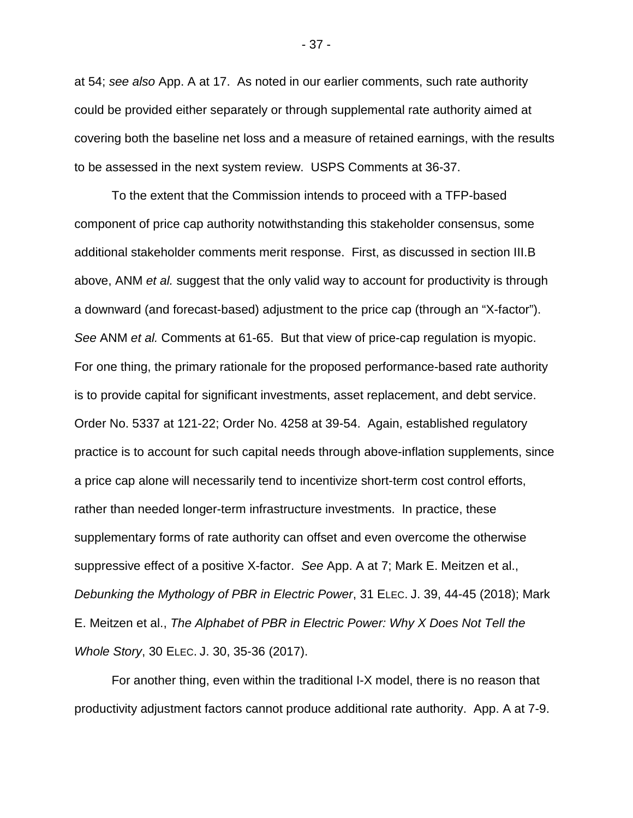at 54; *see also* App. A at 17. As noted in our earlier comments, such rate authority could be provided either separately or through supplemental rate authority aimed at covering both the baseline net loss and a measure of retained earnings, with the results to be assessed in the next system review. USPS Comments at 36-37.

To the extent that the Commission intends to proceed with a TFP-based component of price cap authority notwithstanding this stakeholder consensus, some additional stakeholder comments merit response. First, as discussed in section III.B above, ANM *et al.* suggest that the only valid way to account for productivity is through a downward (and forecast-based) adjustment to the price cap (through an "X-factor"). *See* ANM *et al.* Comments at 61-65. But that view of price-cap regulation is myopic. For one thing, the primary rationale for the proposed performance-based rate authority is to provide capital for significant investments, asset replacement, and debt service. Order No. 5337 at 121-22; Order No. 4258 at 39-54. Again, established regulatory practice is to account for such capital needs through above-inflation supplements, since a price cap alone will necessarily tend to incentivize short-term cost control efforts, rather than needed longer-term infrastructure investments. In practice, these supplementary forms of rate authority can offset and even overcome the otherwise suppressive effect of a positive X-factor. *See* App. A at 7; Mark E. Meitzen et al., *Debunking the Mythology of PBR in Electric Power*, 31 ELEC. J. 39, 44-45 (2018); Mark E. Meitzen et al., *The Alphabet of PBR in Electric Power: Why X Does Not Tell the Whole Story*, 30 ELEC. J. 30, 35-36 (2017).

For another thing, even within the traditional I-X model, there is no reason that productivity adjustment factors cannot produce additional rate authority. App. A at 7-9.

- 37 -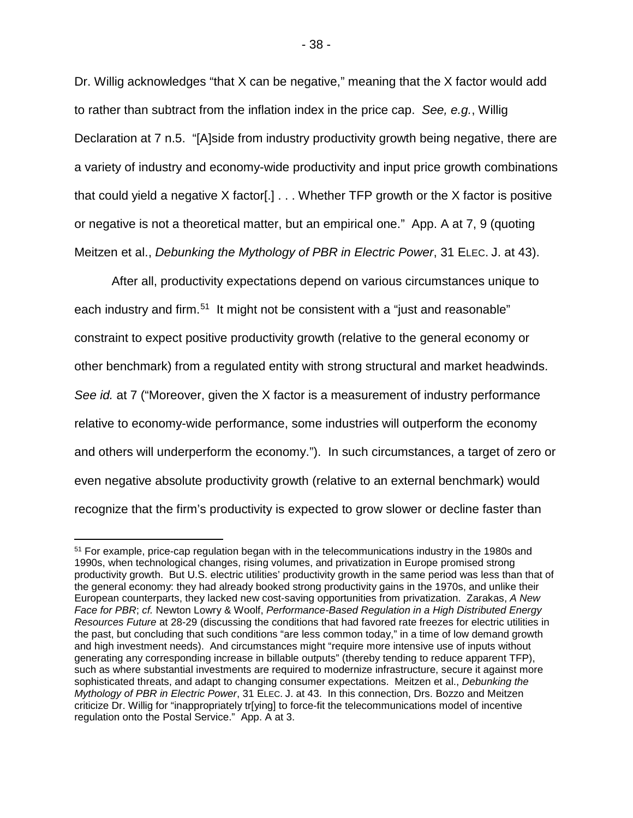Dr. Willig acknowledges "that X can be negative," meaning that the X factor would add to rather than subtract from the inflation index in the price cap. *See, e.g.*, Willig Declaration at 7 n.5. "[A]side from industry productivity growth being negative, there are a variety of industry and economy-wide productivity and input price growth combinations that could yield a negative X factor[.] . . . Whether TFP growth or the X factor is positive or negative is not a theoretical matter, but an empirical one." App. A at 7, 9 (quoting Meitzen et al., *Debunking the Mythology of PBR in Electric Power*, 31 ELEC. J. at 43).

After all, productivity expectations depend on various circumstances unique to each industry and firm.<sup>51</sup> It might not be consistent with a "just and reasonable" constraint to expect positive productivity growth (relative to the general economy or other benchmark) from a regulated entity with strong structural and market headwinds. *See id.* at 7 ("Moreover, given the X factor is a measurement of industry performance relative to economy-wide performance, some industries will outperform the economy and others will underperform the economy."). In such circumstances, a target of zero or even negative absolute productivity growth (relative to an external benchmark) would recognize that the firm's productivity is expected to grow slower or decline faster than

<span id="page-39-0"></span><sup>&</sup>lt;sup>51</sup> For example, price-cap regulation began with in the telecommunications industry in the 1980s and 1990s, when technological changes, rising volumes, and privatization in Europe promised strong productivity growth. But U.S. electric utilities' productivity growth in the same period was less than that of the general economy: they had already booked strong productivity gains in the 1970s, and unlike their European counterparts, they lacked new cost-saving opportunities from privatization. Zarakas, *A New Face for PBR*; *cf.* Newton Lowry & Woolf, *Performance-Based Regulation in a High Distributed Energy Resources Future* at 28-29 (discussing the conditions that had favored rate freezes for electric utilities in the past, but concluding that such conditions "are less common today," in a time of low demand growth and high investment needs). And circumstances might "require more intensive use of inputs without generating any corresponding increase in billable outputs" (thereby tending to reduce apparent TFP), such as where substantial investments are required to modernize infrastructure, secure it against more sophisticated threats, and adapt to changing consumer expectations. Meitzen et al., *Debunking the Mythology of PBR in Electric Power*, 31 ELEC. J. at 43. In this connection, Drs. Bozzo and Meitzen criticize Dr. Willig for "inappropriately tr[ying] to force-fit the telecommunications model of incentive regulation onto the Postal Service." App. A at 3.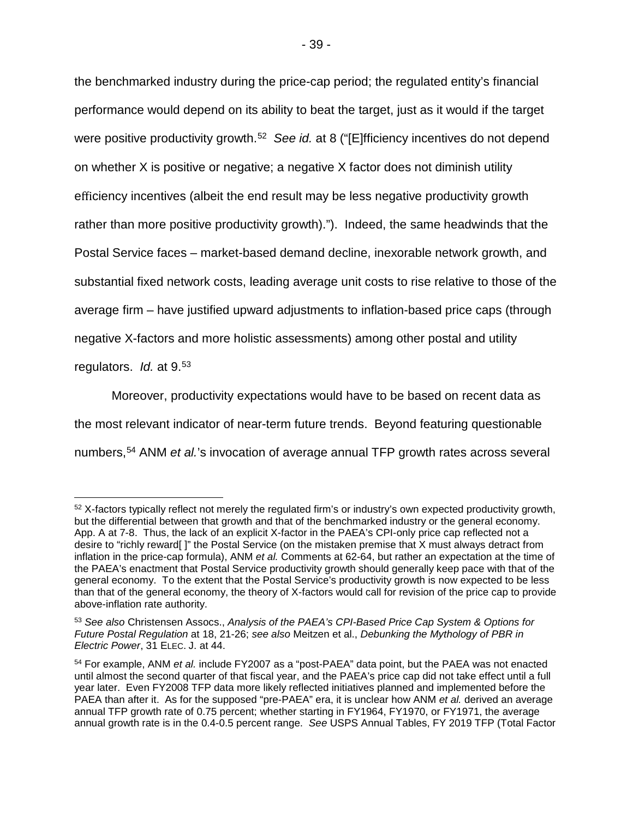the benchmarked industry during the price-cap period; the regulated entity's financial performance would depend on its ability to beat the target, just as it would if the target were positive productivity growth. [52](#page-40-0) *See id.* at 8 ("[E]fficiency incentives do not depend on whether X is positive or negative; a negative X factor does not diminish utility efficiency incentives (albeit the end result may be less negative productivity growth rather than more positive productivity growth)."). Indeed, the same headwinds that the Postal Service faces – market-based demand decline, inexorable network growth, and substantial fixed network costs, leading average unit costs to rise relative to those of the average firm – have justified upward adjustments to inflation-based price caps (through negative X-factors and more holistic assessments) among other postal and utility regulators. *Id.* at 9. [53](#page-40-1)

Moreover, productivity expectations would have to be based on recent data as the most relevant indicator of near-term future trends. Beyond featuring questionable numbers,[54](#page-40-2) ANM *et al.*'s invocation of average annual TFP growth rates across several

<span id="page-40-0"></span> <sup>52</sup> X-factors typically reflect not merely the regulated firm's or industry's own expected productivity growth, but the differential between that growth and that of the benchmarked industry or the general economy. App. A at 7-8. Thus, the lack of an explicit X-factor in the PAEA's CPI-only price cap reflected not a desire to "richly reward[ ]" the Postal Service (on the mistaken premise that X must always detract from inflation in the price-cap formula), ANM *et al.* Comments at 62-64, but rather an expectation at the time of the PAEA's enactment that Postal Service productivity growth should generally keep pace with that of the general economy. To the extent that the Postal Service's productivity growth is now expected to be less than that of the general economy, the theory of X-factors would call for revision of the price cap to provide above-inflation rate authority.

<span id="page-40-1"></span><sup>53</sup> *See also* Christensen Assocs., *Analysis of the PAEA's CPI-Based Price Cap System & Options for Future Postal Regulation* at 18, 21-26; *see also* Meitzen et al., *Debunking the Mythology of PBR in Electric Power*, 31 ELEC. J. at 44.

<span id="page-40-2"></span><sup>54</sup> For example, ANM *et al.* include FY2007 as a "post-PAEA" data point, but the PAEA was not enacted until almost the second quarter of that fiscal year, and the PAEA's price cap did not take effect until a full year later. Even FY2008 TFP data more likely reflected initiatives planned and implemented before the PAEA than after it. As for the supposed "pre-PAEA" era, it is unclear how ANM *et al.* derived an average annual TFP growth rate of 0.75 percent; whether starting in FY1964, FY1970, or FY1971, the average annual growth rate is in the 0.4-0.5 percent range. *See* USPS Annual Tables, FY 2019 TFP (Total Factor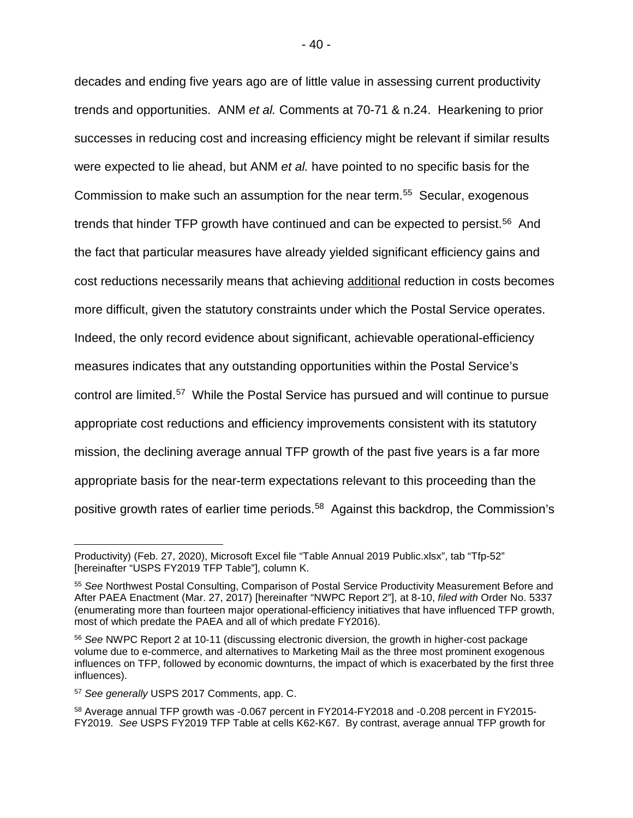decades and ending five years ago are of little value in assessing current productivity trends and opportunities. ANM *et al.* Comments at 70-71 & n.24. Hearkening to prior successes in reducing cost and increasing efficiency might be relevant if similar results were expected to lie ahead, but ANM *et al.* have pointed to no specific basis for the Commission to make such an assumption for the near term. [55](#page-41-0) Secular, exogenous trends that hinder TFP growth have continued and can be expected to persist. [56](#page-41-1) And the fact that particular measures have already yielded significant efficiency gains and cost reductions necessarily means that achieving additional reduction in costs becomes more difficult, given the statutory constraints under which the Postal Service operates. Indeed, the only record evidence about significant, achievable operational-efficiency measures indicates that any outstanding opportunities within the Postal Service's control are limited.[57](#page-41-2) While the Postal Service has pursued and will continue to pursue appropriate cost reductions and efficiency improvements consistent with its statutory mission, the declining average annual TFP growth of the past five years is a far more appropriate basis for the near-term expectations relevant to this proceeding than the positive growth rates of earlier time periods. [58](#page-41-3) Against this backdrop, the Commission's

 $\overline{a}$ 

Productivity) (Feb. 27, 2020), Microsoft Excel file "Table Annual 2019 Public.xlsx", tab "Tfp-52" [hereinafter "USPS FY2019 TFP Table"], column K.

<span id="page-41-0"></span><sup>55</sup> *See* Northwest Postal Consulting, Comparison of Postal Service Productivity Measurement Before and After PAEA Enactment (Mar. 27, 2017) [hereinafter "NWPC Report 2"], at 8-10, *filed with* Order No. 5337 (enumerating more than fourteen major operational-efficiency initiatives that have influenced TFP growth, most of which predate the PAEA and all of which predate FY2016).

<span id="page-41-1"></span><sup>56</sup> *See* NWPC Report 2 at 10-11 (discussing electronic diversion, the growth in higher-cost package volume due to e-commerce, and alternatives to Marketing Mail as the three most prominent exogenous influences on TFP, followed by economic downturns, the impact of which is exacerbated by the first three influences).

<span id="page-41-2"></span><sup>57</sup> *See generally* USPS 2017 Comments, app. C.

<span id="page-41-3"></span><sup>58</sup> Average annual TFP growth was -0.067 percent in FY2014-FY2018 and -0.208 percent in FY2015- FY2019. *See* USPS FY2019 TFP Table at cells K62-K67. By contrast, average annual TFP growth for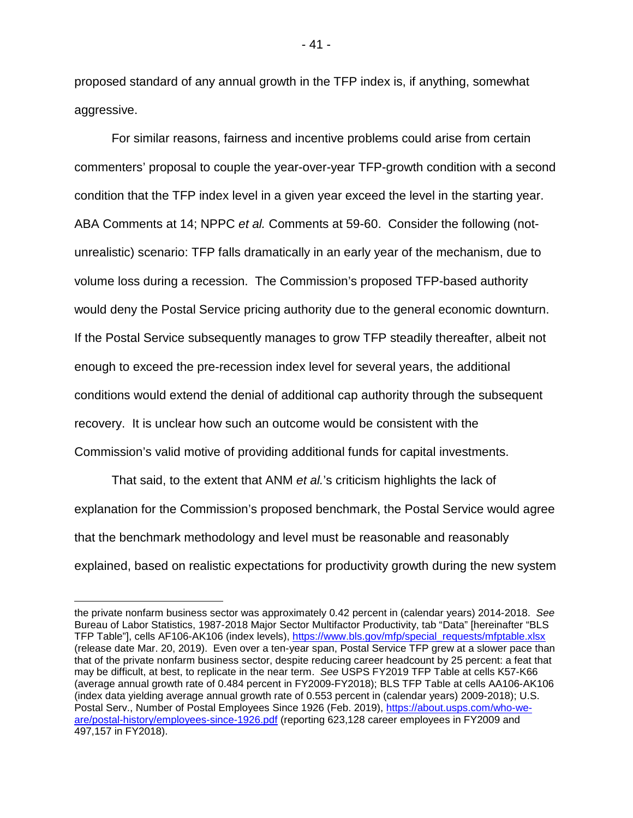proposed standard of any annual growth in the TFP index is, if anything, somewhat aggressive.

For similar reasons, fairness and incentive problems could arise from certain commenters' proposal to couple the year-over-year TFP-growth condition with a second condition that the TFP index level in a given year exceed the level in the starting year. ABA Comments at 14; NPPC *et al.* Comments at 59-60. Consider the following (notunrealistic) scenario: TFP falls dramatically in an early year of the mechanism, due to volume loss during a recession. The Commission's proposed TFP-based authority would deny the Postal Service pricing authority due to the general economic downturn. If the Postal Service subsequently manages to grow TFP steadily thereafter, albeit not enough to exceed the pre-recession index level for several years, the additional conditions would extend the denial of additional cap authority through the subsequent recovery. It is unclear how such an outcome would be consistent with the Commission's valid motive of providing additional funds for capital investments.

That said, to the extent that ANM *et al.*'s criticism highlights the lack of explanation for the Commission's proposed benchmark, the Postal Service would agree that the benchmark methodology and level must be reasonable and reasonably explained, based on realistic expectations for productivity growth during the new system

- 41 -

the private nonfarm business sector was approximately 0.42 percent in (calendar years) 2014-2018. *See* Bureau of Labor Statistics, 1987-2018 Major Sector Multifactor Productivity, tab "Data" [hereinafter "BLS TFP Table"], cells AF106-AK106 (index levels), [https://www.bls.gov/mfp/special\\_requests/mfptable.xlsx](https://www.bls.gov/mfp/special_requests/mfptable.xlsx) (release date Mar. 20, 2019). Even over a ten-year span, Postal Service TFP grew at a slower pace than that of the private nonfarm business sector, despite reducing career headcount by 25 percent: a feat that may be difficult, at best, to replicate in the near term. *See* USPS FY2019 TFP Table at cells K57-K66 (average annual growth rate of 0.484 percent in FY2009-FY2018); BLS TFP Table at cells AA106-AK106 (index data yielding average annual growth rate of 0.553 percent in (calendar years) 2009-2018); U.S. Postal Serv., Number of Postal Employees Since 1926 (Feb. 2019), [https://about.usps.com/who-we](https://about.usps.com/who-we-are/postal-history/employees-since-1926.pdf)[are/postal-history/employees-since-1926.pdf](https://about.usps.com/who-we-are/postal-history/employees-since-1926.pdf) (reporting 623,128 career employees in FY2009 and 497,157 in FY2018).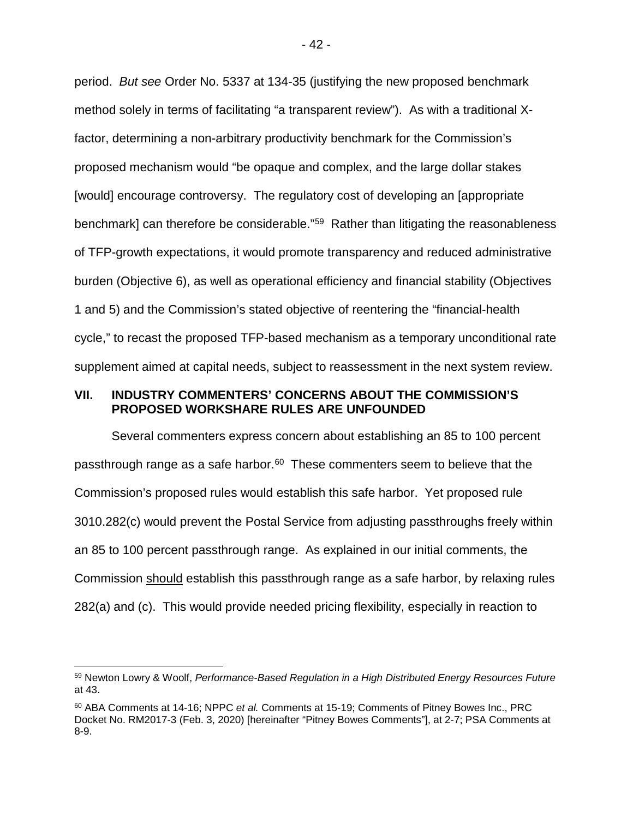period. *But see* Order No. 5337 at 134-35 (justifying the new proposed benchmark method solely in terms of facilitating "a transparent review"). As with a traditional Xfactor, determining a non-arbitrary productivity benchmark for the Commission's proposed mechanism would "be opaque and complex, and the large dollar stakes [would] encourage controversy. The regulatory cost of developing an [appropriate benchmark] can therefore be considerable."[59](#page-43-1) Rather than litigating the reasonableness of TFP-growth expectations, it would promote transparency and reduced administrative burden (Objective 6), as well as operational efficiency and financial stability (Objectives 1 and 5) and the Commission's stated objective of reentering the "financial-health cycle," to recast the proposed TFP-based mechanism as a temporary unconditional rate supplement aimed at capital needs, subject to reassessment in the next system review.

#### <span id="page-43-0"></span>**VII. INDUSTRY COMMENTERS' CONCERNS ABOUT THE COMMISSION'S PROPOSED WORKSHARE RULES ARE UNFOUNDED**

Several commenters express concern about establishing an 85 to 100 percent passthrough range as a safe harbor. $60$  These commenters seem to believe that the Commission's proposed rules would establish this safe harbor. Yet proposed rule 3010.282(c) would prevent the Postal Service from adjusting passthroughs freely within an 85 to 100 percent passthrough range. As explained in our initial comments, the Commission should establish this passthrough range as a safe harbor, by relaxing rules 282(a) and (c). This would provide needed pricing flexibility, especially in reaction to

<span id="page-43-1"></span> <sup>59</sup> Newton Lowry & Woolf, *Performance-Based Regulation in a High Distributed Energy Resources Future* at 43.

<span id="page-43-2"></span><sup>60</sup> ABA Comments at 14-16; NPPC *et al.* Comments at 15-19; Comments of Pitney Bowes Inc., PRC Docket No. RM2017-3 (Feb. 3, 2020) [hereinafter "Pitney Bowes Comments"], at 2-7; PSA Comments at 8-9.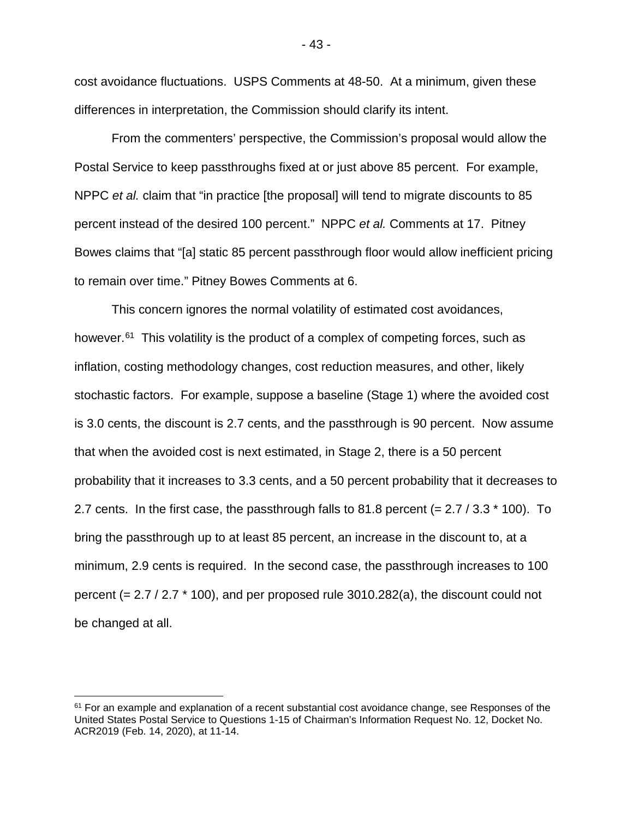cost avoidance fluctuations. USPS Comments at 48-50. At a minimum, given these differences in interpretation, the Commission should clarify its intent.

From the commenters' perspective, the Commission's proposal would allow the Postal Service to keep passthroughs fixed at or just above 85 percent. For example, NPPC *et al.* claim that "in practice [the proposal] will tend to migrate discounts to 85 percent instead of the desired 100 percent." NPPC *et al.* Comments at 17. Pitney Bowes claims that "[a] static 85 percent passthrough floor would allow inefficient pricing to remain over time." Pitney Bowes Comments at 6.

This concern ignores the normal volatility of estimated cost avoidances, however.<sup>[61](#page-44-0)</sup> This volatility is the product of a complex of competing forces, such as inflation, costing methodology changes, cost reduction measures, and other, likely stochastic factors. For example, suppose a baseline (Stage 1) where the avoided cost is 3.0 cents, the discount is 2.7 cents, and the passthrough is 90 percent. Now assume that when the avoided cost is next estimated, in Stage 2, there is a 50 percent probability that it increases to 3.3 cents, and a 50 percent probability that it decreases to 2.7 cents. In the first case, the passthrough falls to 81.8 percent (=  $2.7 / 3.3 * 100$ ). To bring the passthrough up to at least 85 percent, an increase in the discount to, at a minimum, 2.9 cents is required. In the second case, the passthrough increases to 100 percent (= 2.7 / 2.7 \* 100), and per proposed rule 3010.282(a), the discount could not be changed at all.

<span id="page-44-0"></span> $61$  For an example and explanation of a recent substantial cost avoidance change, see Responses of the United States Postal Service to Questions 1-15 of Chairman's Information Request No. 12, Docket No. ACR2019 (Feb. 14, 2020), at 11-14.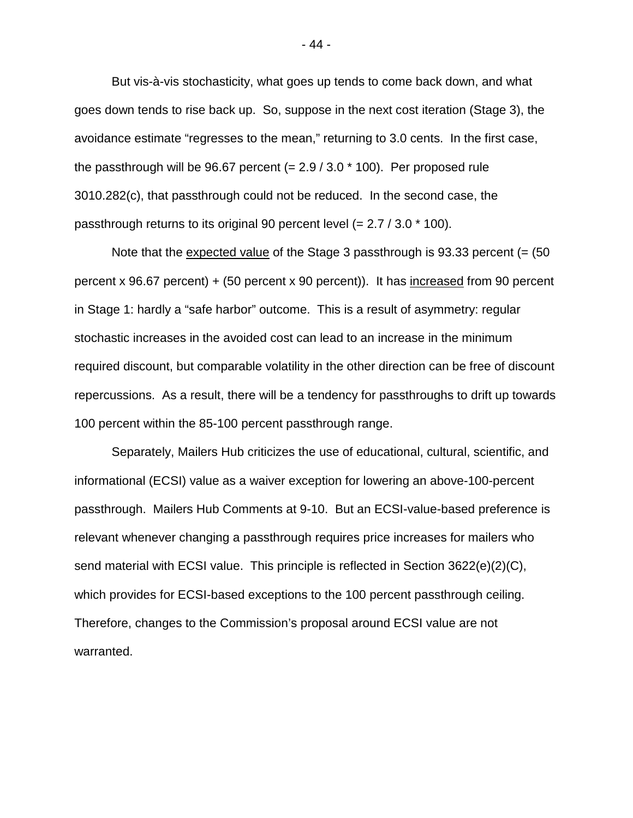But vis-à-vis stochasticity, what goes up tends to come back down, and what goes down tends to rise back up. So, suppose in the next cost iteration (Stage 3), the avoidance estimate "regresses to the mean," returning to 3.0 cents. In the first case, the passthrough will be 96.67 percent  $(= 2.9 / 3.0 * 100)$ . Per proposed rule 3010.282(c), that passthrough could not be reduced. In the second case, the passthrough returns to its original 90 percent level (= 2.7 / 3.0 \* 100).

Note that the expected value of the Stage 3 passthrough is  $93.33$  percent (=  $(50)$ percent x 96.67 percent) + (50 percent x 90 percent)). It has increased from 90 percent in Stage 1: hardly a "safe harbor" outcome. This is a result of asymmetry: regular stochastic increases in the avoided cost can lead to an increase in the minimum required discount, but comparable volatility in the other direction can be free of discount repercussions. As a result, there will be a tendency for passthroughs to drift up towards 100 percent within the 85-100 percent passthrough range.

Separately, Mailers Hub criticizes the use of educational, cultural, scientific, and informational (ECSI) value as a waiver exception for lowering an above-100-percent passthrough. Mailers Hub Comments at 9-10. But an ECSI-value-based preference is relevant whenever changing a passthrough requires price increases for mailers who send material with ECSI value. This principle is reflected in Section 3622(e)(2)(C), which provides for ECSI-based exceptions to the 100 percent passthrough ceiling. Therefore, changes to the Commission's proposal around ECSI value are not warranted.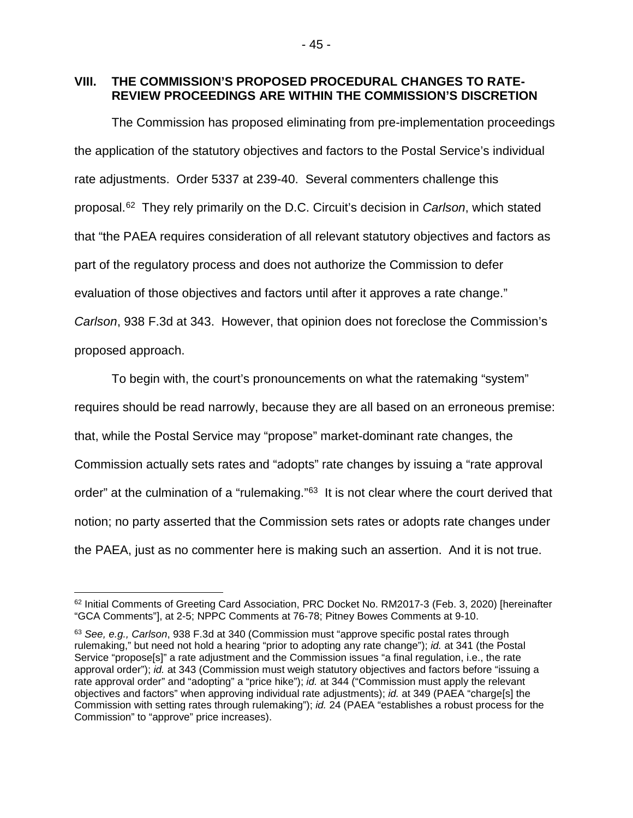<span id="page-46-0"></span>**VIII. THE COMMISSION'S PROPOSED PROCEDURAL CHANGES TO RATE-REVIEW PROCEEDINGS ARE WITHIN THE COMMISSION'S DISCRETION**

The Commission has proposed eliminating from pre-implementation proceedings the application of the statutory objectives and factors to the Postal Service's individual rate adjustments. Order 5337 at 239-40. Several commenters challenge this proposal.[62](#page-46-1) They rely primarily on the D.C. Circuit's decision in *Carlson*, which stated that "the PAEA requires consideration of all relevant statutory objectives and factors as part of the regulatory process and does not authorize the Commission to defer evaluation of those objectives and factors until after it approves a rate change." *Carlson*, 938 F.3d at 343. However, that opinion does not foreclose the Commission's proposed approach.

To begin with, the court's pronouncements on what the ratemaking "system" requires should be read narrowly, because they are all based on an erroneous premise: that, while the Postal Service may "propose" market-dominant rate changes, the Commission actually sets rates and "adopts" rate changes by issuing a "rate approval order" at the culmination of a "rulemaking."<sup>63</sup> It is not clear where the court derived that notion; no party asserted that the Commission sets rates or adopts rate changes under the PAEA, just as no commenter here is making such an assertion. And it is not true.

<span id="page-46-1"></span> <sup>62</sup> Initial Comments of Greeting Card Association, PRC Docket No. RM2017-3 (Feb. 3, 2020) [hereinafter "GCA Comments"], at 2-5; NPPC Comments at 76-78; Pitney Bowes Comments at 9-10.

<span id="page-46-2"></span><sup>63</sup> *See, e.g., Carlson*, 938 F.3d at 340 (Commission must "approve specific postal rates through rulemaking," but need not hold a hearing "prior to adopting any rate change"); *id.* at 341 (the Postal Service "propose[s]" a rate adjustment and the Commission issues "a final regulation, i.e., the rate approval order"); *id.* at 343 (Commission must weigh statutory objectives and factors before "issuing a rate approval order" and "adopting" a "price hike"); *id.* at 344 ("Commission must apply the relevant objectives and factors" when approving individual rate adjustments); *id.* at 349 (PAEA "charge[s] the Commission with setting rates through rulemaking"); *id.* 24 (PAEA "establishes a robust process for the Commission" to "approve" price increases).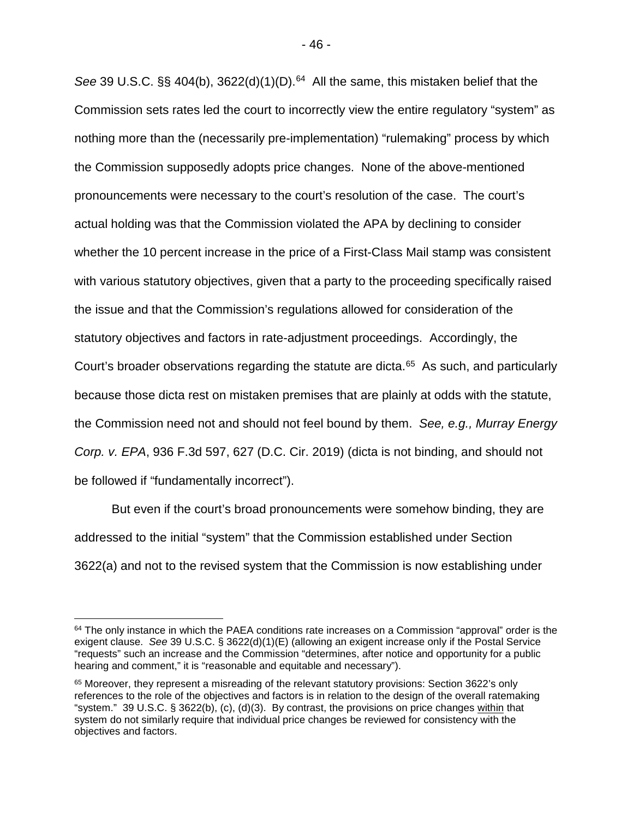See 39 U.S.C. §§ 404(b), 3622(d)(1)(D).<sup>[64](#page-47-0)</sup> All the same, this mistaken belief that the Commission sets rates led the court to incorrectly view the entire regulatory "system" as nothing more than the (necessarily pre-implementation) "rulemaking" process by which the Commission supposedly adopts price changes. None of the above-mentioned pronouncements were necessary to the court's resolution of the case. The court's actual holding was that the Commission violated the APA by declining to consider whether the 10 percent increase in the price of a First-Class Mail stamp was consistent with various statutory objectives, given that a party to the proceeding specifically raised the issue and that the Commission's regulations allowed for consideration of the statutory objectives and factors in rate-adjustment proceedings. Accordingly, the Court's broader observations regarding the statute are dicta.<sup>65</sup> As such, and particularly because those dicta rest on mistaken premises that are plainly at odds with the statute, the Commission need not and should not feel bound by them. *See, e.g., Murray Energy Corp. v. EPA*, 936 F.3d 597, 627 (D.C. Cir. 2019) (dicta is not binding, and should not be followed if "fundamentally incorrect").

But even if the court's broad pronouncements were somehow binding, they are addressed to the initial "system" that the Commission established under Section 3622(a) and not to the revised system that the Commission is now establishing under

<span id="page-47-0"></span> $64$  The only instance in which the PAEA conditions rate increases on a Commission "approval" order is the exigent clause. *See* 39 U.S.C. § 3622(d)(1)(E) (allowing an exigent increase only if the Postal Service "requests" such an increase and the Commission "determines, after notice and opportunity for a public hearing and comment," it is "reasonable and equitable and necessary").

<span id="page-47-1"></span><sup>&</sup>lt;sup>65</sup> Moreover, they represent a misreading of the relevant statutory provisions: Section 3622's only references to the role of the objectives and factors is in relation to the design of the overall ratemaking "system." 39 U.S.C. § 3622(b), (c), (d)(3). By contrast, the provisions on price changes within that system do not similarly require that individual price changes be reviewed for consistency with the objectives and factors.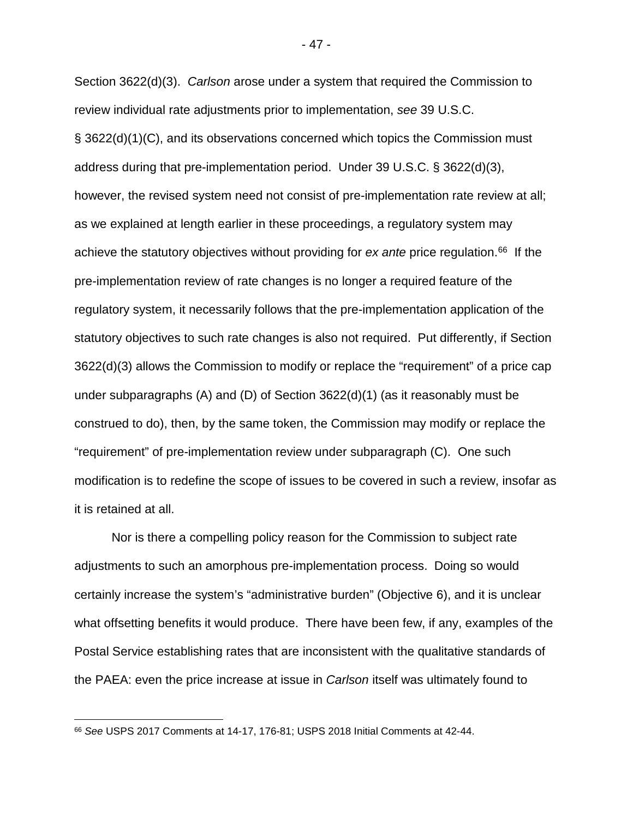Section 3622(d)(3). *Carlson* arose under a system that required the Commission to review individual rate adjustments prior to implementation, *see* 39 U.S.C. § 3622(d)(1)(C), and its observations concerned which topics the Commission must address during that pre-implementation period. Under 39 U.S.C. § 3622(d)(3), however, the revised system need not consist of pre-implementation rate review at all; as we explained at length earlier in these proceedings, a regulatory system may achieve the statutory objectives without providing for *ex ante* price regulation.<sup>66</sup> If the pre-implementation review of rate changes is no longer a required feature of the regulatory system, it necessarily follows that the pre-implementation application of the statutory objectives to such rate changes is also not required. Put differently, if Section 3622(d)(3) allows the Commission to modify or replace the "requirement" of a price cap under subparagraphs (A) and (D) of Section 3622(d)(1) (as it reasonably must be construed to do), then, by the same token, the Commission may modify or replace the "requirement" of pre-implementation review under subparagraph (C). One such modification is to redefine the scope of issues to be covered in such a review, insofar as it is retained at all.

Nor is there a compelling policy reason for the Commission to subject rate adjustments to such an amorphous pre-implementation process. Doing so would certainly increase the system's "administrative burden" (Objective 6), and it is unclear what offsetting benefits it would produce. There have been few, if any, examples of the Postal Service establishing rates that are inconsistent with the qualitative standards of the PAEA: even the price increase at issue in *Carlson* itself was ultimately found to

<span id="page-48-0"></span> <sup>66</sup> *See* USPS 2017 Comments at 14-17, 176-81; USPS 2018 Initial Comments at 42-44.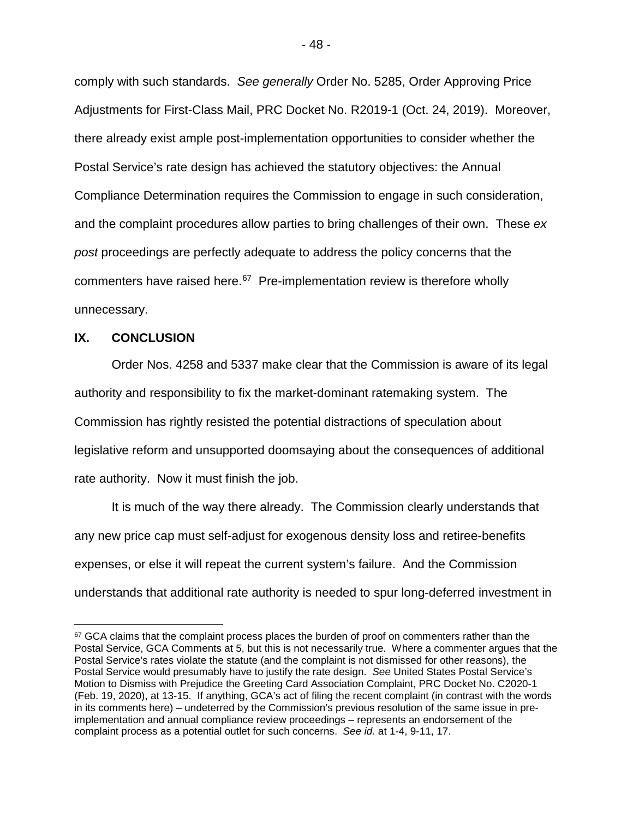comply with such standards. *See generally* Order No. 5285, Order Approving Price Adjustments for First-Class Mail, PRC Docket No. R2019-1 (Oct. 24, 2019). Moreover, there already exist ample post-implementation opportunities to consider whether the Postal Service's rate design has achieved the statutory objectives: the Annual Compliance Determination requires the Commission to engage in such consideration, and the complaint procedures allow parties to bring challenges of their own. These *ex post* proceedings are perfectly adequate to address the policy concerns that the commenters have raised here.<sup>[67](#page-49-1)</sup> Pre-implementation review is therefore wholly unnecessary.

#### <span id="page-49-0"></span>**IX. CONCLUSION**

Order Nos. 4258 and 5337 make clear that the Commission is aware of its legal authority and responsibility to fix the market-dominant ratemaking system. The Commission has rightly resisted the potential distractions of speculation about legislative reform and unsupported doomsaying about the consequences of additional rate authority. Now it must finish the job.

It is much of the way there already. The Commission clearly understands that any new price cap must self-adjust for exogenous density loss and retiree-benefits expenses, or else it will repeat the current system's failure. And the Commission understands that additional rate authority is needed to spur long-deferred investment in

<span id="page-49-1"></span><sup>&</sup>lt;sup>67</sup> GCA claims that the complaint process places the burden of proof on commenters rather than the Postal Service, GCA Comments at 5, but this is not necessarily true. Where a commenter argues that the Postal Service's rates violate the statute (and the complaint is not dismissed for other reasons), the Postal Service would presumably have to justify the rate design. *See* United States Postal Service's Motion to Dismiss with Prejudice the Greeting Card Association Complaint, PRC Docket No. C2020-1 (Feb. 19, 2020), at 13-15. If anything, GCA's act of filing the recent complaint (in contrast with the words in its comments here) – undeterred by the Commission's previous resolution of the same issue in preimplementation and annual compliance review proceedings – represents an endorsement of the complaint process as a potential outlet for such concerns. *See id.* at 1-4, 9-11, 17.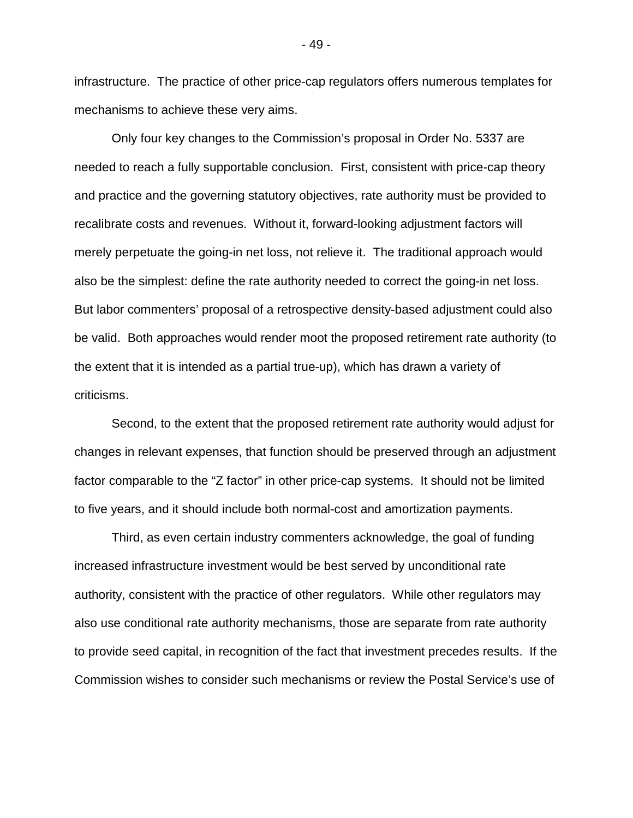infrastructure. The practice of other price-cap regulators offers numerous templates for mechanisms to achieve these very aims.

Only four key changes to the Commission's proposal in Order No. 5337 are needed to reach a fully supportable conclusion. First, consistent with price-cap theory and practice and the governing statutory objectives, rate authority must be provided to recalibrate costs and revenues. Without it, forward-looking adjustment factors will merely perpetuate the going-in net loss, not relieve it. The traditional approach would also be the simplest: define the rate authority needed to correct the going-in net loss. But labor commenters' proposal of a retrospective density-based adjustment could also be valid. Both approaches would render moot the proposed retirement rate authority (to the extent that it is intended as a partial true-up), which has drawn a variety of criticisms.

Second, to the extent that the proposed retirement rate authority would adjust for changes in relevant expenses, that function should be preserved through an adjustment factor comparable to the "Z factor" in other price-cap systems. It should not be limited to five years, and it should include both normal-cost and amortization payments.

Third, as even certain industry commenters acknowledge, the goal of funding increased infrastructure investment would be best served by unconditional rate authority, consistent with the practice of other regulators. While other regulators may also use conditional rate authority mechanisms, those are separate from rate authority to provide seed capital, in recognition of the fact that investment precedes results. If the Commission wishes to consider such mechanisms or review the Postal Service's use of

- 49 -